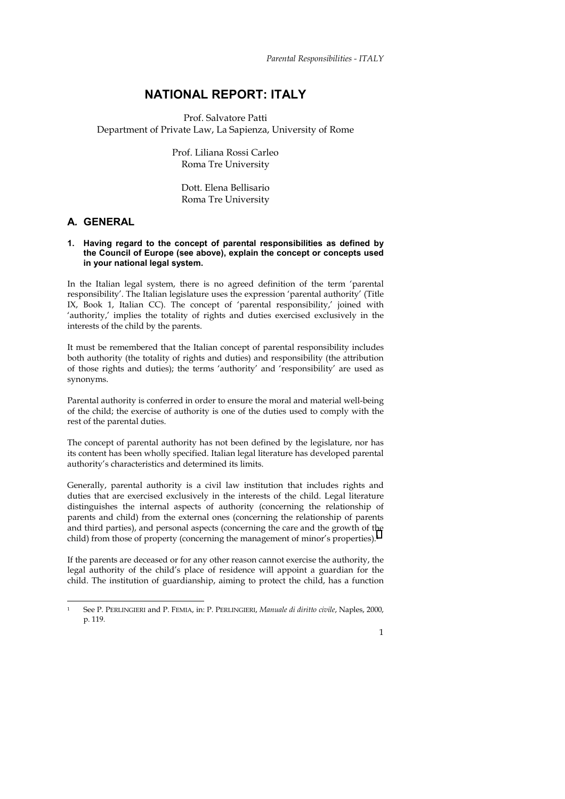# **NATIONAL REPORT: ITALY**

Prof. Salvatore Patti Department of Private Law, La Sapienza, University of Rome

> Prof. Liliana Rossi Carleo Roma Tre University

Dott. Elena Bellisario Roma Tre University

# **A***.* **GENERAL**

j

### **1. Having regard to the concept of parental responsibilities as defined by the Council of Europe (see above), explain the concept or concepts used in your national legal system.**

In the Italian legal system, there is no agreed definition of the term 'parental responsibility'. The Italian legislature uses the expression 'parental authority' (Title IX, Book 1, Italian CC). The concept of 'parental responsibility,' joined with 'authority,' implies the totality of rights and duties exercised exclusively in the interests of the child by the parents.

It must be remembered that the Italian concept of parental responsibility includes both authority (the totality of rights and duties) and responsibility (the attribution of those rights and duties); the terms 'authority' and 'responsibility' are used as synonyms.

Parental authority is conferred in order to ensure the moral and material well-being of the child; the exercise of authority is one of the duties used to comply with the rest of the parental duties.

The concept of parental authority has not been defined by the legislature, nor has its content has been wholly specified. Italian legal literature has developed parental authority's characteristics and determined its limits.

Generally, parental authority is a civil law institution that includes rights and duties that are exercised exclusively in the interests of the child. Legal literature distinguishes the internal aspects of authority (concerning the relationship of parents and child) from the external ones (concerning the relationship of parents and third parties), and personal aspects (concerning the care and the growth of the child) from those of property (concerning the management of minor's properties).<sup>1</sup>

If the parents are deceased or for any other reason cannot exercise the authority, the legal authority of the child's place of residence will appoint a guardian for the child. The institution of guardianship, aiming to protect the child, has a function

<sup>1</sup> See P. PERLINGIERI and P. FEMIA, in: P. PERLINGIERI, *Manuale di diritto civile*, Naples, 2000, p. 119.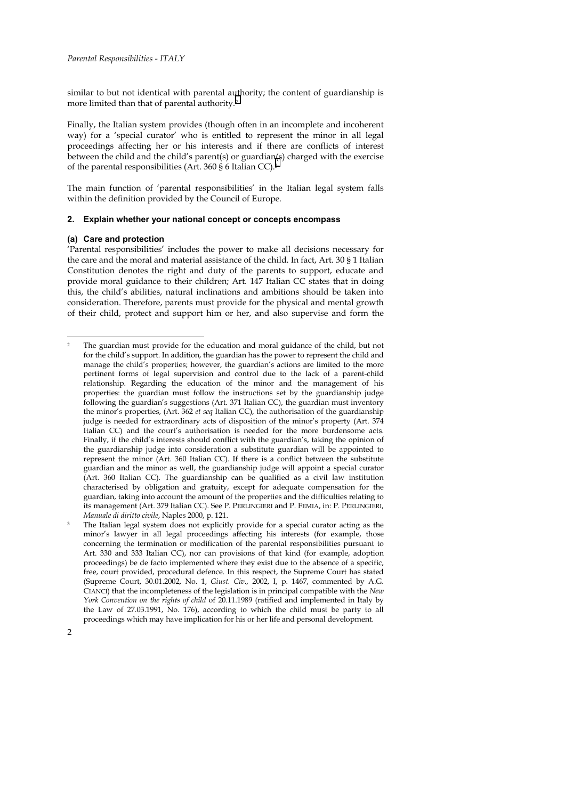similar to but not identical with parental authority; the content of guardianship is more limited than that of parental authority.2

Finally, the Italian system provides (though often in an incomplete and incoherent way) for a 'special curator' who is entitled to represent the minor in all legal proceedings affecting her or his interests and if there are conflicts of interest between the child and the child's parent(s) or guardian(s) charged with the exercise of the parental responsibilities (Art. 360 § 6 Italian CC).3

The main function of 'parental responsibilities' in the Italian legal system falls within the definition provided by the Council of Europe.

## **2. Explain whether your national concept or concepts encompass**

#### **(a) Care and protection**

'Parental responsibilities' includes the power to make all decisions necessary for the care and the moral and material assistance of the child. In fact, Art. 30 § 1 Italian Constitution denotes the right and duty of the parents to support, educate and provide moral guidance to their children; Art. 147 Italian CC states that in doing this, the child's abilities, natural inclinations and ambitions should be taken into consideration. Therefore, parents must provide for the physical and mental growth of their child, protect and support him or her, and also supervise and form the

<sup>2</sup> The guardian must provide for the education and moral guidance of the child, but not for the child's support. In addition, the guardian has the power to represent the child and manage the child's properties; however, the guardian's actions are limited to the more pertinent forms of legal supervision and control due to the lack of a parent-child relationship. Regarding the education of the minor and the management of his properties: the guardian must follow the instructions set by the guardianship judge following the guardian's suggestions (Art. 371 Italian CC), the guardian must inventory the minor's properties, (Art. 362 *et seq* Italian CC), the authorisation of the guardianship judge is needed for extraordinary acts of disposition of the minor's property (Art. 374 Italian CC) and the court's authorisation is needed for the more burdensome acts. Finally, if the child's interests should conflict with the guardian's, taking the opinion of the guardianship judge into consideration a substitute guardian will be appointed to represent the minor (Art. 360 Italian CC). If there is a conflict between the substitute guardian and the minor as well, the guardianship judge will appoint a special curator (Art. 360 Italian CC). The guardianship can be qualified as a civil law institution characterised by obligation and gratuity, except for adequate compensation for the guardian, taking into account the amount of the properties and the difficulties relating to its management (Art. 379 Italian CC). See P. PERLINGIERI and P. FEMIA, in: P. PERLINGIERI, *Manuale di diritto civile*, Naples 2000, p. 121.<br>The Italian legal system does not explicitly provide for a special curator acting as the

minor's lawyer in all legal proceedings affecting his interests (for example, those concerning the termination or modification of the parental responsibilities pursuant to Art. 330 and 333 Italian CC), nor can provisions of that kind (for example, adoption proceedings) be de facto implemented where they exist due to the absence of a specific, free, court provided, procedural defence. In this respect, the Supreme Court has stated (Supreme Court, 30.01.2002, No. 1, *Giust. Civ.,* 2002, I, p. 1467, commented by A.G. CIANCI) that the incompleteness of the legislation is in principal compatible with the *New York Convention on the rights of child* of 20.11.1989 (ratified and implemented in Italy by the Law of 27.03.1991, No. 176), according to which the child must be party to all proceedings which may have implication for his or her life and personal development.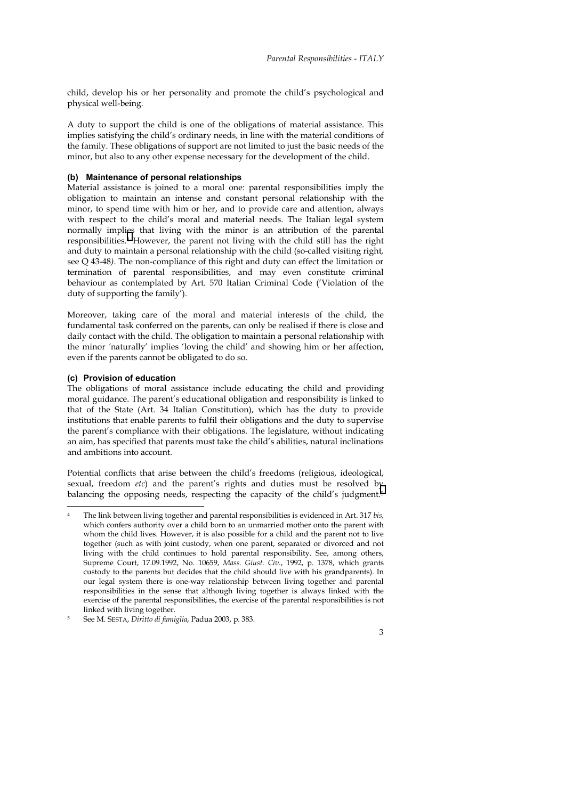child, develop his or her personality and promote the child's psychological and physical well-being.

A duty to support the child is one of the obligations of material assistance. This implies satisfying the child's ordinary needs, in line with the material conditions of the family. These obligations of support are not limited to just the basic needs of the minor, but also to any other expense necessary for the development of the child.

#### **(b) Maintenance of personal relationships**

Material assistance is joined to a moral one: parental responsibilities imply the obligation to maintain an intense and constant personal relationship with the minor, to spend time with him or her, and to provide care and attention, always with respect to the child's moral and material needs. The Italian legal system normally implies that living with the minor is an attribution of the parental responsibilities.4 However, the parent not living with the child still has the right and duty to maintain a personal relationship with the child (so-called visiting right*,*  see Q 43-48*)*. The non-compliance of this right and duty can effect the limitation or termination of parental responsibilities, and may even constitute criminal behaviour as contemplated by Art. 570 Italian Criminal Code ('Violation of the duty of supporting the family').

Moreover, taking care of the moral and material interests of the child, the fundamental task conferred on the parents, can only be realised if there is close and daily contact with the child. The obligation to maintain a personal relationship with the minor *'*naturally' implies 'loving the child' and showing him or her affection, even if the parents cannot be obligated to do so.

#### **(c) Provision of education**

 $\overline{a}$ 

The obligations of moral assistance include educating the child and providing moral guidance. The parent's educational obligation and responsibility is linked to that of the State (Art. 34 Italian Constitution), which has the duty to provide institutions that enable parents to fulfil their obligations and the duty to supervise the parent's compliance with their obligations. The legislature, without indicating an aim, has specified that parents must take the child's abilities, natural inclinations and ambitions into account.

Potential conflicts that arise between the child's freedoms (religious, ideological, sexual, freedom *etc*) and the parent's rights and duties must be resolved by balancing the opposing needs, respecting the capacity of the child's judgment.<sup>5</sup>

<sup>4</sup> The link between living together and parental responsibilities is evidenced in Art. 317 *bis,* which confers authority over a child born to an unmarried mother onto the parent with whom the child lives. However, it is also possible for a child and the parent not to live together (such as with joint custody, when one parent, separated or divorced and not living with the child continues to hold parental responsibility. See, among others, Supreme Court, 17.09.1992, No. 10659, *Mass. Giust. Civ.*, 1992, p. 1378, which grants custody to the parents but decides that the child should live with his grandparents). In our legal system there is one-way relationship between living together and parental responsibilities in the sense that although living together is always linked with the exercise of the parental responsibilities, the exercise of the parental responsibilities is not linked with living together.<br>See M. SESTA, *Diritto di famiglia*, Padua 2003, p. 383.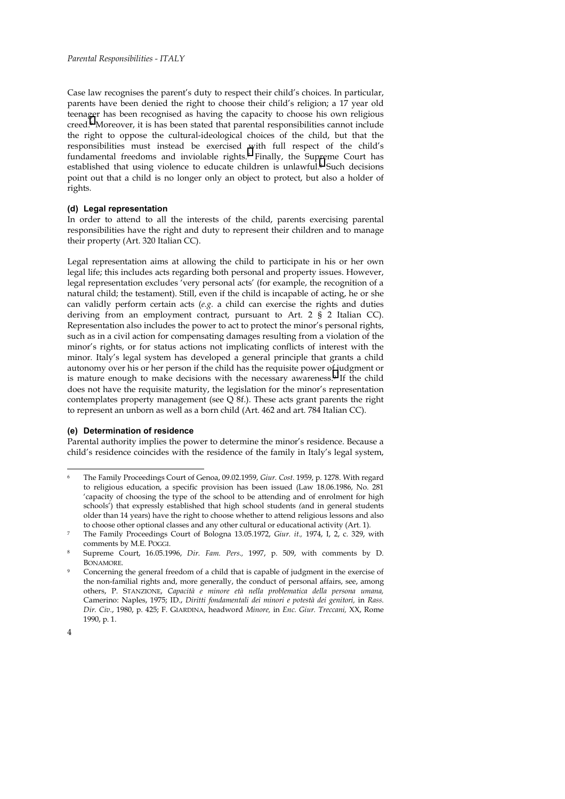Case law recognises the parent's duty to respect their child's choices. In particular, parents have been denied the right to choose their child's religion; a 17 year old teenager has been recognised as having the capacity to choose his own religious creed.6 Moreover, it is has been stated that parental responsibilities cannot include the right to oppose the cultural-ideological choices of the child, but that the responsibilities must instead be exercised with full respect of the child's fundamental freedoms and inviolable rights.7 Finally, the Supreme Court has established that using violence to educate children is unlawful.8 Such decisions point out that a child is no longer only an object to protect, but also a holder of rights*.*

#### **(d) Legal representation**

In order to attend to all the interests of the child, parents exercising parental responsibilities have the right and duty to represent their children and to manage their property (Art. 320 Italian CC).

Legal representation aims at allowing the child to participate in his or her own legal life; this includes acts regarding both personal and property issues. However, legal representation excludes 'very personal acts' (for example, the recognition of a natural child; the testament). Still, even if the child is incapable of acting, he or she can validly perform certain acts (*e.g.* a child can exercise the rights and duties deriving from an employment contract, pursuant to Art. 2 § 2 Italian CC). Representation also includes the power to act to protect the minor's personal rights, such as in a civil action for compensating damages resulting from a violation of the minor's rights, or for status actions not implicating conflicts of interest with the minor*.* Italy's legal system has developed a general principle that grants a child autonomy over his or her person if the child has the requisite power of judgment or is mature enough to make decisions with the necessary awareness.9 If the child does not have the requisite maturity, the legislation for the minor's representation contemplates property management (see  $Q$  8f.). These acts grant parents the right to represent an unborn as well as a born child (Art. 462 and art. 784 Italian CC).

#### **(e) Determination of residence**

Parental authority implies the power to determine the minor's residence. Because a child's residence coincides with the residence of the family in Italy's legal system,

<sup>6</sup> The Family Proceedings Court of Genoa, 09.02.1959, *Giur. Cost*. 1959, p. 1278. With regard to religious education, a specific provision has been issued (Law 18.06.1986, No. 281 'capacity of choosing the type of the school to be attending and of enrolment for high schools') that expressly established that high school students *(*and in general students older than 14 years) have the right to choose whether to attend religious lessons and also to choose other optional classes and any other cultural or educational activity (Art. 1).

The Family Proceedings Court of Bologna 13.05.1972, *Giur. it.*, 1974, I, 2, c. 329, with comments by M.E. POGGI.

<sup>8</sup> Supreme Court, 16.05.1996, *Dir. Fam. Pers.,* 1997, p. 509, with comments by D. BONAMORE*.*

<sup>9</sup> Concerning the general freedom of a child that is capable of judgment in the exercise of the non-familial rights and, more generally, the conduct of personal affairs, see, among others, P. STANZIONE, *Capacità e minore età nella problematica della persona umana,*  Camerino: Naples, 1975; ID., *Diritti fondamentali dei minori e potestà dei genitori,* in *Rass. Dir. Civ.*, 1980, p. 425; F. GIARDINA, headword *Minore,* in *Enc. Giur. Treccani,* XX, Rome 1990, p. 1.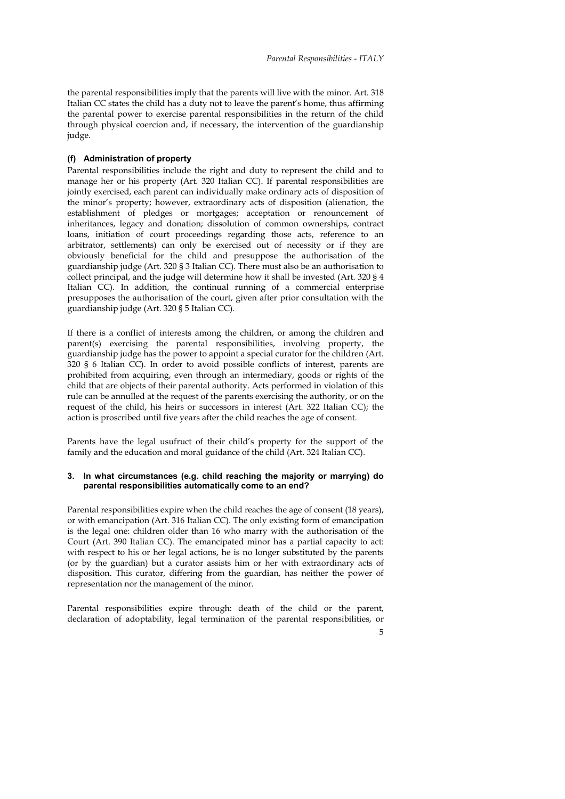the parental responsibilities imply that the parents will live with the minor. Art. 318 Italian CC states the child has a duty not to leave the parent's home, thus affirming the parental power to exercise parental responsibilities in the return of the child through physical coercion and, if necessary, the intervention of the guardianship judge.

#### **(f) Administration of property**

Parental responsibilities include the right and duty to represent the child and to manage her or his property (Art. 320 Italian CC). If parental responsibilities are jointly exercised, each parent can individually make ordinary acts of disposition of the minor's property; however, extraordinary acts of disposition (alienation, the establishment of pledges or mortgages; acceptation or renouncement of inheritances, legacy and donation; dissolution of common ownerships, contract loans, initiation of court proceedings regarding those acts, reference to an arbitrator, settlements) can only be exercised out of necessity or if they are obviously beneficial for the child and presuppose the authorisation of the guardianship judge (Art. 320 § 3 Italian CC). There must also be an authorisation to collect principal, and the judge will determine how it shall be invested (Art. 320 § 4 Italian CC). In addition, the continual running of a commercial enterprise presupposes the authorisation of the court, given after prior consultation with the guardianship judge (Art. 320 § 5 Italian CC).

If there is a conflict of interests among the children, or among the children and parent(s) exercising the parental responsibilities, involving property, the guardianship judge has the power to appoint a special curator for the children (Art. 320 § 6 Italian CC). In order to avoid possible conflicts of interest, parents are prohibited from acquiring, even through an intermediary, goods or rights of the child that are objects of their parental authority. Acts performed in violation of this rule can be annulled at the request of the parents exercising the authority, or on the request of the child, his heirs or successors in interest (Art. 322 Italian CC); the action is proscribed until five years after the child reaches the age of consent.

Parents have the legal usufruct of their child's property for the support of the family and the education and moral guidance of the child (Art. 324 Italian CC).

#### **3. In what circumstances (e.g. child reaching the majority or marrying) do parental responsibilities automatically come to an end?**

Parental responsibilities expire when the child reaches the age of consent (18 years), or with emancipation (Art. 316 Italian CC). The only existing form of emancipation is the legal one: children older than 16 who marry with the authorisation of the Court (Art. 390 Italian CC). The emancipated minor has a partial capacity to act: with respect to his or her legal actions, he is no longer substituted by the parents (or by the guardian) but a curator assists him or her with extraordinary acts of disposition. This curator, differing from the guardian, has neither the power of representation nor the management of the minor.

Parental responsibilities expire through: death of the child or the parent, declaration of adoptability, legal termination of the parental responsibilities, or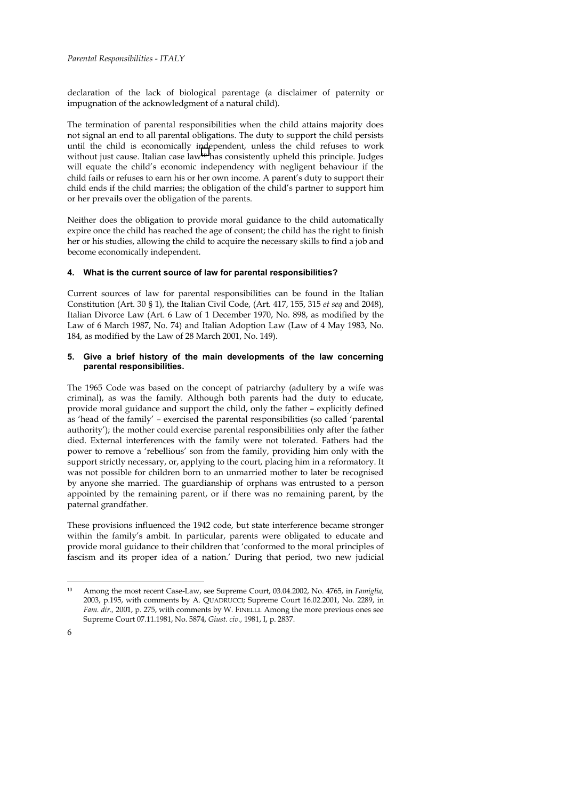declaration of the lack of biological parentage (a disclaimer of paternity or impugnation of the acknowledgment of a natural child).

The termination of parental responsibilities when the child attains majority does not signal an end to all parental obligations. The duty to support the child persists until the child is economically independent, unless the child refuses to work without just cause. Italian case law<sup>10</sup> has consistently upheld this principle. Judges will equate the child's economic independency with negligent behaviour if the child fails or refuses to earn his or her own income. A parent's duty to support their child ends if the child marries; the obligation of the child's partner to support him or her prevails over the obligation of the parents.

Neither does the obligation to provide moral guidance to the child automatically expire once the child has reached the age of consent; the child has the right to finish her or his studies, allowing the child to acquire the necessary skills to find a job and become economically independent.

# **4. What is the current source of law for parental responsibilities?**

Current sources of law for parental responsibilities can be found in the Italian Constitution (Art. 30 § 1), the Italian Civil Code, (Art. 417, 155, 315 *et seq* and 2048), Italian Divorce Law (Art. 6 Law of 1 December 1970, No. 898, as modified by the Law of 6 March 1987, No. 74) and Italian Adoption Law (Law of 4 May 1983, No. 184, as modified by the Law of 28 March 2001, No. 149).

## **5. Give a brief history of the main developments of the law concerning parental responsibilities.**

The 1965 Code was based on the concept of patriarchy (adultery by a wife was criminal), as was the family. Although both parents had the duty to educate, provide moral guidance and support the child, only the father – explicitly defined as 'head of the family' – exercised the parental responsibilities (so called 'parental authority'); the mother could exercise parental responsibilities only after the father died. External interferences with the family were not tolerated. Fathers had the power to remove a 'rebellious' son from the family, providing him only with the support strictly necessary, or, applying to the court, placing him in a reformatory. It was not possible for children born to an unmarried mother to later be recognised by anyone she married. The guardianship of orphans was entrusted to a person appointed by the remaining parent, or if there was no remaining parent, by the paternal grandfather.

These provisions influenced the 1942 code, but state interference became stronger within the family's ambit. In particular, parents were obligated to educate and provide moral guidance to their children that 'conformed to the moral principles of fascism and its proper idea of a nation.' During that period, two new judicial

 $10<sup>10</sup>$ 10 Among the most recent Case-Law, see Supreme Court, 03.04.2002, No. 4765, in *Famiglia,*  2003, p.195, with comments by A. QUADRUCCI; Supreme Court 16.02.2001, No. 2289, in *Fam. dir.,* 2001, p. 275, with comments by W. FINELLI. Among the more previous ones see Supreme Court 07.11.1981, No. 5874, *Giust. civ.,* 1981, I, p. 2837.

<sup>6</sup>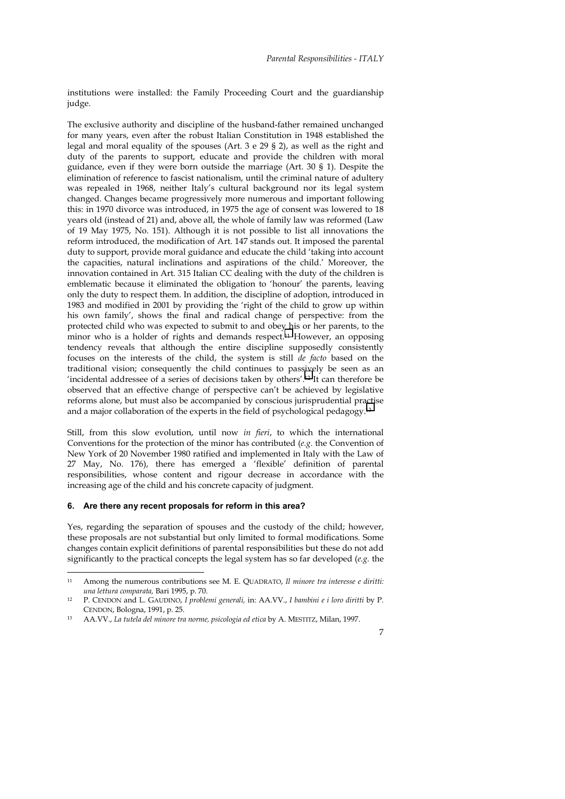institutions were installed: the Family Proceeding Court and the guardianship judge.

The exclusive authority and discipline of the husband-father remained unchanged for many years, even after the robust Italian Constitution in 1948 established the legal and moral equality of the spouses (Art. 3 e 29 § 2), as well as the right and duty of the parents to support, educate and provide the children with moral guidance, even if they were born outside the marriage (Art. 30 § 1). Despite the elimination of reference to fascist nationalism, until the criminal nature of adultery was repealed in 1968, neither Italy's cultural background nor its legal system changed. Changes became progressively more numerous and important following this: in 1970 divorce was introduced, in 1975 the age of consent was lowered to 18 years old (instead of 21) and, above all, the whole of family law was reformed (Law of 19 May 1975, No. 151). Although it is not possible to list all innovations the reform introduced, the modification of Art. 147 stands out. It imposed the parental duty to support, provide moral guidance and educate the child 'taking into account the capacities, natural inclinations and aspirations of the child.' Moreover, the innovation contained in Art. 315 Italian CC dealing with the duty of the children is emblematic because it eliminated the obligation to 'honour' the parents, leaving only the duty to respect them. In addition, the discipline of adoption, introduced in 1983 and modified in 2001 by providing the 'right of the child to grow up within his own family', shows the final and radical change of perspective: from the protected child who was expected to submit to and obey his or her parents, to the minor who is a holder of rights and demands respect.11 However, an opposing tendency reveals that although the entire discipline supposedly consistently focuses on the interests of the child, the system is still *de facto* based on the traditional vision; consequently the child continues to passively be seen as an 'incidental addressee of a series of decisions taken by others'.12 It can therefore be observed that an effective change of perspective can't be achieved by legislative reforms alone, but must also be accompanied by conscious jurisprudential practise and a major collaboration of the experts in the field of psychological pedagogy.13

Still, from this slow evolution, until now *in fieri*, to which the international Conventions for the protection of the minor has contributed (*e.g.* the Convention of New York of 20 November 1980 ratified and implemented in Italy with the Law of 27 May, No. 176), there has emerged a 'flexible' definition of parental responsibilities, whose content and rigour decrease in accordance with the increasing age of the child and his concrete capacity of judgment.

#### **6. Are there any recent proposals for reform in this area?**

Yes, regarding the separation of spouses and the custody of the child; however, these proposals are not substantial but only limited to formal modifications. Some changes contain explicit definitions of parental responsibilities but these do not add significantly to the practical concepts the legal system has so far developed (*e.g.* the

 $11$ 11 Among the numerous contributions see M. E. QUADRATO, *Il minore tra interesse e diritti: una lettura comparata,* Bari 1995, p. 70. 12 P. CENDON and L. GAUDINO, *I problemi generali,* in: AA.VV., *I bambini e i loro diritti* by P.

CENDON, Bologna, 1991, p. 25.

<sup>13</sup> AA.VV., *La tutela del minore tra norme, psicologia ed etica* by A. MESTITZ, Milan, 1997.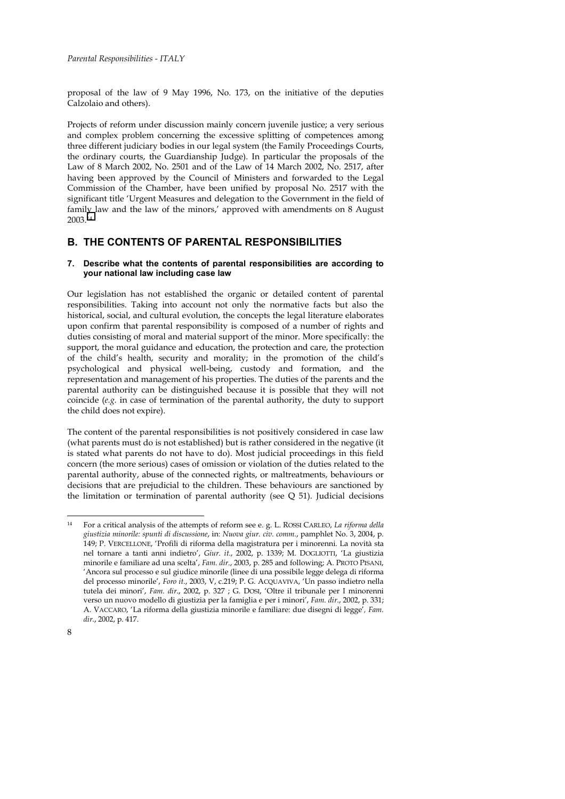proposal of the law of 9 May 1996, No. 173, on the initiative of the deputies Calzolaio and others).

Projects of reform under discussion mainly concern juvenile justice; a very serious and complex problem concerning the excessive splitting of competences among three different judiciary bodies in our legal system (the Family Proceedings Courts, the ordinary courts, the Guardianship Judge). In particular the proposals of the Law of 8 March 2002, No. 2501 and of the Law of 14 March 2002, No. 2517, after having been approved by the Council of Ministers and forwarded to the Legal Commission of the Chamber, have been unified by proposal No. 2517 with the significant title 'Urgent Measures and delegation to the Government in the field of family law and the law of the minors,' approved with amendments on 8 August 2003.14

# **B. THE CONTENTS OF PARENTAL RESPONSIBILITIES**

## **7. Describe what the contents of parental responsibilities are according to your national law including case law**

Our legislation has not established the organic or detailed content of parental responsibilities. Taking into account not only the normative facts but also the historical, social, and cultural evolution, the concepts the legal literature elaborates upon confirm that parental responsibility is composed of a number of rights and duties consisting of moral and material support of the minor. More specifically: the support, the moral guidance and education, the protection and care, the protection of the child's health, security and morality; in the promotion of the child's psychological and physical well-being, custody and formation, and the representation and management of his properties. The duties of the parents and the parental authority can be distinguished because it is possible that they will not coincide (*e.g.* in case of termination of the parental authority, the duty to support the child does not expire).

The content of the parental responsibilities is not positively considered in case law (what parents must do is not established) but is rather considered in the negative (it is stated what parents do not have to do). Most judicial proceedings in this field concern (the more serious) cases of omission or violation of the duties related to the parental authority, abuse of the connected rights, or maltreatments, behaviours or decisions that are prejudicial to the children. These behaviours are sanctioned by the limitation or termination of parental authority (see Q 51). Judicial decisions

j

<sup>14</sup> For a critical analysis of the attempts of reform see e. g. L. ROSSI CARLEO, *La riforma della giustizia minorile: spunti di discussione*, in: *Nuova giur. civ. comm*., pamphlet No. 3, 2004, p. 149; P. VERCELLONE, 'Profili di riforma della magistratura per i minorenni. La novità sta nel tornare a tanti anni indietro', *Giur. it*., 2002, p. 1339; M. DOGLIOTTI, 'La giustizia minorile e familiare ad una scelta', *Fam. dir*., 2003, p. 285 and following; A. PROTO PISANI, 'Ancora sul processo e sul giudice minorile (linee di una possibile legge delega di riforma del processo minorile', *Foro it*., 2003, V, c.219; P. G. ACQUAVIVA, 'Un passo indietro nella tutela dei minori', *Fam. dir*., 2002, p. 327 ; G. DOSI, 'Oltre il tribunale per I minorenni verso un nuovo modello di giustizia per la famiglia e per i minori', *Fam. dir*., 2002, p. 331; A. VACCARO, 'La riforma della giustizia minorile e familiare: due disegni di legge'*, Fam. dir*., 2002, p. 417.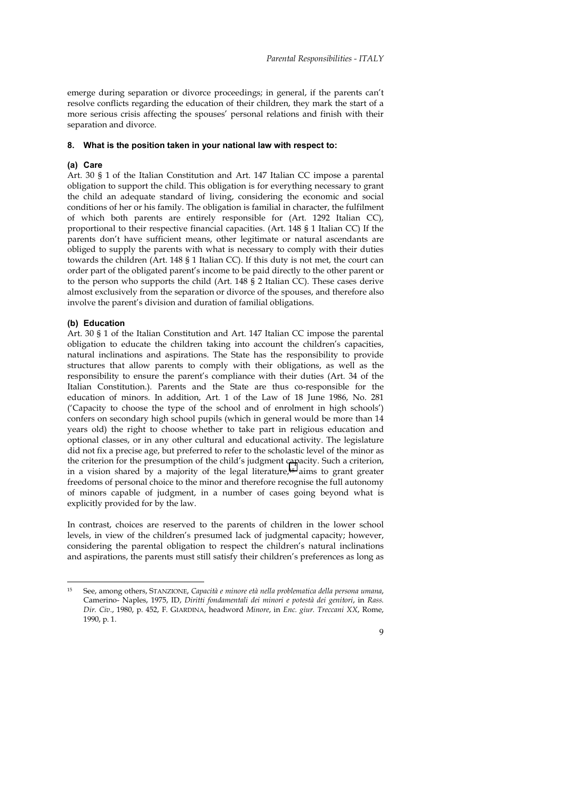emerge during separation or divorce proceedings; in general, if the parents can't resolve conflicts regarding the education of their children, they mark the start of a more serious crisis affecting the spouses' personal relations and finish with their separation and divorce.

#### **8. What is the position taken in your national law with respect to:**

#### **(a) Care**

Art. 30 § 1 of the Italian Constitution and Art. 147 Italian CC impose a parental obligation to support the child. This obligation is for everything necessary to grant the child an adequate standard of living, considering the economic and social conditions of her or his family. The obligation is familial in character, the fulfilment of which both parents are entirely responsible for (Art. 1292 Italian CC), proportional to their respective financial capacities. (Art. 148 § 1 Italian CC) If the parents don't have sufficient means, other legitimate or natural ascendants are obliged to supply the parents with what is necessary to comply with their duties towards the children (Art. 148 § 1 Italian CC). If this duty is not met, the court can order part of the obligated parent's income to be paid directly to the other parent or to the person who supports the child (Art. 148 § 2 Italian CC). These cases derive almost exclusively from the separation or divorce of the spouses, and therefore also involve the parent's division and duration of familial obligations.

#### **(b) Education**

Art. 30 § 1 of the Italian Constitution and Art. 147 Italian CC impose the parental obligation to educate the children taking into account the children's capacities, natural inclinations and aspirations. The State has the responsibility to provide structures that allow parents to comply with their obligations, as well as the responsibility to ensure the parent's compliance with their duties (Art. 34 of the Italian Constitution.). Parents and the State are thus co-responsible for the education of minors. In addition, Art. 1 of the Law of 18 June 1986, No. 281 ('Capacity to choose the type of the school and of enrolment in high schools') confers on secondary high school pupils (which in general would be more than 14 years old) the right to choose whether to take part in religious education and optional classes, or in any other cultural and educational activity. The legislature did not fix a precise age, but preferred to refer to the scholastic level of the minor as the criterion for the presumption of the child's judgment capacity. Such a criterion, in a vision shared by a majority of the legal literature,<sup>15</sup> aims to grant greater freedoms of personal choice to the minor and therefore recognise the full autonomy of minors capable of judgment, in a number of cases going beyond what is explicitly provided for by the law.

In contrast, choices are reserved to the parents of children in the lower school levels, in view of the children's presumed lack of judgmental capacity; however, considering the parental obligation to respect the children's natural inclinations and aspirations, the parents must still satisfy their children's preferences as long as

 $15$ 15 See, among others, STANZIONE, *Capacità e minore età nella problematica della persona umana*, Camerino- Naples, 1975, ID, *Diritti fondamentali dei minori e potestà dei genitori*, in *Rass. Dir. Civ*., 1980, p. 452, F. GIARDINA, headword *Minore*, in *Enc. giur. Treccani XX*, Rome, 1990, p. 1.

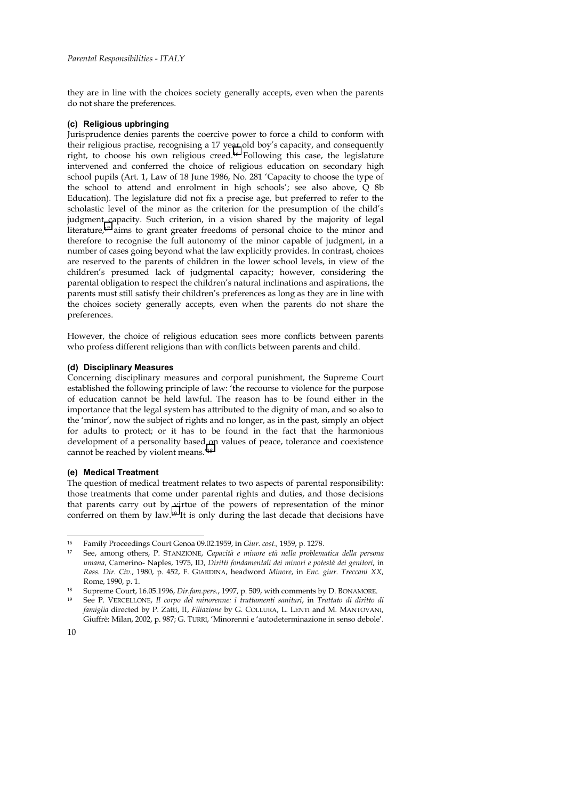they are in line with the choices society generally accepts, even when the parents do not share the preferences.

## **(c) Religious upbringing**

Jurisprudence denies parents the coercive power to force a child to conform with their religious practise, recognising a 17 year old boy's capacity, and consequently right, to choose his own religious creed.16 Following this case, the legislature intervened and conferred the choice of religious education on secondary high school pupils (Art. 1, Law of 18 June 1986, No. 281 'Capacity to choose the type of the school to attend and enrolment in high schools'; see also above, Q 8b Education). The legislature did not fix a precise age, but preferred to refer to the scholastic level of the minor as the criterion for the presumption of the child's judgment capacity. Such criterion, in a vision shared by the majority of legal literature,<sup>17</sup> aims to grant greater freedoms of personal choice to the minor and therefore to recognise the full autonomy of the minor capable of judgment, in a number of cases going beyond what the law explicitly provides. In contrast, choices are reserved to the parents of children in the lower school levels, in view of the children's presumed lack of judgmental capacity; however, considering the parental obligation to respect the children's natural inclinations and aspirations, the parents must still satisfy their children's preferences as long as they are in line with the choices society generally accepts, even when the parents do not share the preferences.

However, the choice of religious education sees more conflicts between parents who profess different religions than with conflicts between parents and child.

## **(d) Disciplinary Measures**

Concerning disciplinary measures and corporal punishment, the Supreme Court established the following principle of law: 'the recourse to violence for the purpose of education cannot be held lawful. The reason has to be found either in the importance that the legal system has attributed to the dignity of man, and so also to the 'minor', now the subject of rights and no longer, as in the past, simply an object for adults to protect; or it has to be found in the fact that the harmonious development of a personality based on values of peace, tolerance and coexistence cannot be reached by violent means.'18

## **(e) Medical Treatment**

The question of medical treatment relates to two aspects of parental responsibility: those treatments that come under parental rights and duties, and those decisions that parents carry out by virtue of the powers of representation of the minor conferred on them by law.19 It is only during the last decade that decisions have

j

<sup>16</sup> Family Proceedings Court Genoa 09.02.1959, in *Giur. cost.,* 1959, p. 1278. 17 See, among others, P. STANZIONE, *Capacità e minore età nella problematica della persona umana*, Camerino- Naples, 1975, ID, *Diritti fondamentali dei minori e potestà dei genitori*, in *Rass. Dir. Civ*., 1980, p. 452, F. GIARDINA, headword *Minore*, in *Enc. giur. Treccani XX*,

Rome, 1990, p. 1.<br>18 Supreme Court, 16.05.1996, *Dir.fam.pers.*, 1997, p. 509, with comments by D. BONAMORE.<br>19 See P. VERCELLONE, *Il corpo del minorenne: i trattamenti sanitari, in Trattato di diritto di* 

*famiglia* directed by P. Zatti, II, *Filiazione* by G. COLLURA, L. LENTI and M. MANTOVANI, Giuffrè: Milan, 2002, p. 987; G. TURRI, 'Minorenni e 'autodeterminazione in senso debole'.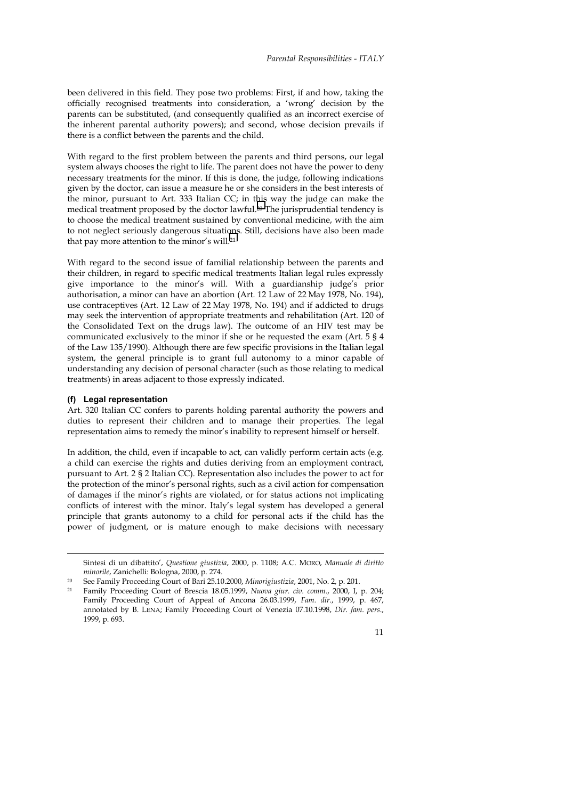been delivered in this field. They pose two problems: First, if and how, taking the officially recognised treatments into consideration, a 'wrong' decision by the parents can be substituted, (and consequently qualified as an incorrect exercise of the inherent parental authority powers); and second, whose decision prevails if there is a conflict between the parents and the child.

With regard to the first problem between the parents and third persons, our legal system always chooses the right to life. The parent does not have the power to deny necessary treatments for the minor. If this is done, the judge, following indications given by the doctor, can issue a measure he or she considers in the best interests of the minor, pursuant to Art. 333 Italian CC; in this way the judge can make the medical treatment proposed by the doctor lawful.20 The jurisprudential tendency is to choose the medical treatment sustained by conventional medicine, with the aim to not neglect seriously dangerous situations. Still, decisions have also been made that pay more attention to the minor's will.21

With regard to the second issue of familial relationship between the parents and their children, in regard to specific medical treatments Italian legal rules expressly give importance to the minor's will. With a guardianship judge's prior authorisation, a minor can have an abortion (Art. 12 Law of 22 May 1978, No. 194), use contraceptives (Art. 12 Law of 22 May 1978, No. 194) and if addicted to drugs may seek the intervention of appropriate treatments and rehabilitation (Art. 120 of the Consolidated Text on the drugs law). The outcome of an HIV test may be communicated exclusively to the minor if she or he requested the exam (Art. 5 § 4 of the Law 135/1990). Although there are few specific provisions in the Italian legal system, the general principle is to grant full autonomy to a minor capable of understanding any decision of personal character (such as those relating to medical treatments) in areas adjacent to those expressly indicated.

## **(f) Legal representation**

 $\overline{a}$ 

Art. 320 Italian CC confers to parents holding parental authority the powers and duties to represent their children and to manage their properties. The legal representation aims to remedy the minor's inability to represent himself or herself.

In addition, the child, even if incapable to act, can validly perform certain acts (e.g. a child can exercise the rights and duties deriving from an employment contract, pursuant to Art. 2 § 2 Italian CC). Representation also includes the power to act for the protection of the minor's personal rights, such as a civil action for compensation of damages if the minor's rights are violated, or for status actions not implicating conflicts of interest with the minor*.* Italy's legal system has developed a general principle that grants autonomy to a child for personal acts if the child has the power of judgment, or is mature enough to make decisions with necessary

Family Proceeding Court of Brescia 18.05.1999, *Nuova giur. civ. comm.*, 2000, I, p. 204; Family Proceeding Court of Appeal of Ancona 26.03.1999, *Fam. dir*., 1999, p. 467, annotated by B. LENA; Family Proceeding Court of Venezia 07.10.1998, *Dir. fam. pers*., 1999, p. 693.



Sintesi di un dibattito', *Questione giustizia*, 2000, p. 1108; A.C. MORO, *Manuale di diritto minorile*, Zanichelli: Bologna, 2000, p. 274.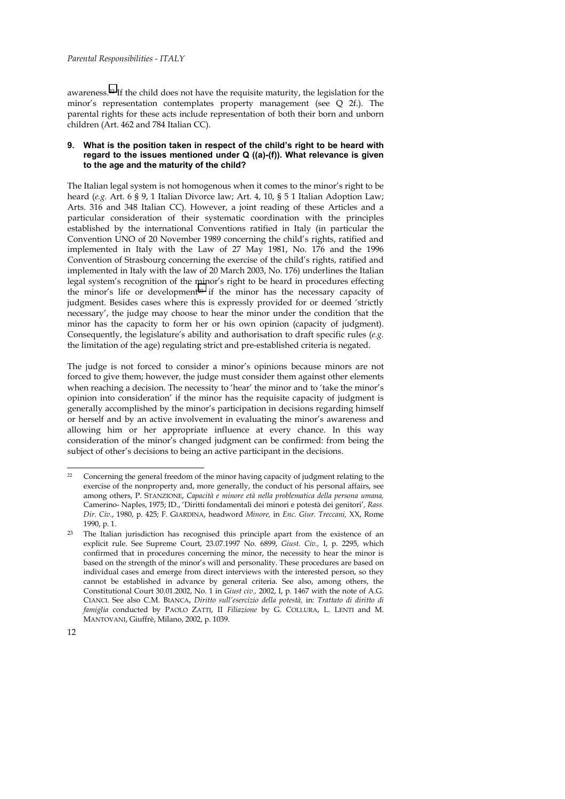awareness.22 If the child does not have the requisite maturity, the legislation for the minor's representation contemplates property management (see Q 2f.). The parental rights for these acts include representation of both their born and unborn children (Art. 462 and 784 Italian CC).

## **9. What is the position taken in respect of the child's right to be heard with regard to the issues mentioned under Q ((a)-(f)). What relevance is given to the age and the maturity of the child?**

The Italian legal system is not homogenous when it comes to the minor's right to be heard (*e.g.* Art. 6 § 9, 1 Italian Divorce law; Art. 4, 10, § 5 1 Italian Adoption Law; Arts. 316 and 348 Italian CC). However, a joint reading of these Articles and a particular consideration of their systematic coordination with the principles established by the international Conventions ratified in Italy (in particular the Convention UNO of 20 November 1989 concerning the child's rights, ratified and implemented in Italy with the Law of 27 May 1981, No. 176 and the 1996 Convention of Strasbourg concerning the exercise of the child's rights, ratified and implemented in Italy with the law of 20 March 2003, No. 176) underlines the Italian legal system's recognition of the minor's right to be heard in procedures effecting the minor's life or development23 if the minor has the necessary capacity of judgment. Besides cases where this is expressly provided for or deemed 'strictly necessary', the judge may choose to hear the minor under the condition that the minor has the capacity to form her or his own opinion (capacity of judgment). Consequently, the legislature's ability and authorisation to draft specific rules (*e.g.* the limitation of the age) regulating strict and pre-established criteria is negated.

The judge is not forced to consider a minor's opinions because minors are not forced to give them; however, the judge must consider them against other elements when reaching a decision. The necessity to 'hear' the minor and to 'take the minor's opinion into consideration' if the minor has the requisite capacity of judgment is generally accomplished by the minor's participation in decisions regarding himself or herself and by an active involvement in evaluating the minor's awareness and allowing him or her appropriate influence at every chance. In this way consideration of the minor's changed judgment can be confirmed: from being the subject of other's decisions to being an active participant in the decisions.

<sup>22</sup> Concerning the general freedom of the minor having capacity of judgment relating to the exercise of the nonproperty and, more generally, the conduct of his personal affairs, see among others, P. STANZIONE, *Capacità e minore età nella problematica della persona umana,*  Camerino- Naples, 1975; ID., 'Diritti fondamentali dei minori e potestà dei genitori'*, Rass. Dir. Civ.*, 1980, p. 425; F. GIARDINA, headword *Minore,* in *Enc. Giur. Treccani,* XX, Rome 1990, p. 1.

<sup>&</sup>lt;sup>23</sup> The Italian jurisdiction has recognised this principle apart from the existence of an explicit rule. See Supreme Court, 23.07.1997 No. 6899, *Giust. Civ.,* I, p. 2295, which confirmed that in procedures concerning the minor, the necessity to hear the minor is based on the strength of the minor's will and personality. These procedures are based on individual cases and emerge from direct interviews with the interested person, so they cannot be established in advance by general criteria. See also, among others, the Constitutional Court 30.01.2002, No. 1 in *Giust civ.,* 2002, I, p. 1467 with the note of A.G. CIANCI. See also C.M. BIANCA, *Diritto sull'esercizio della potestà,* in: *Trattato di diritto di famiglia* conducted by PAOLO ZATTI, II *Filiazione* by G. COLLURA, L. LENTI and M. MANTOVANI, Giuffrè, Milano, 2002, p. 1039.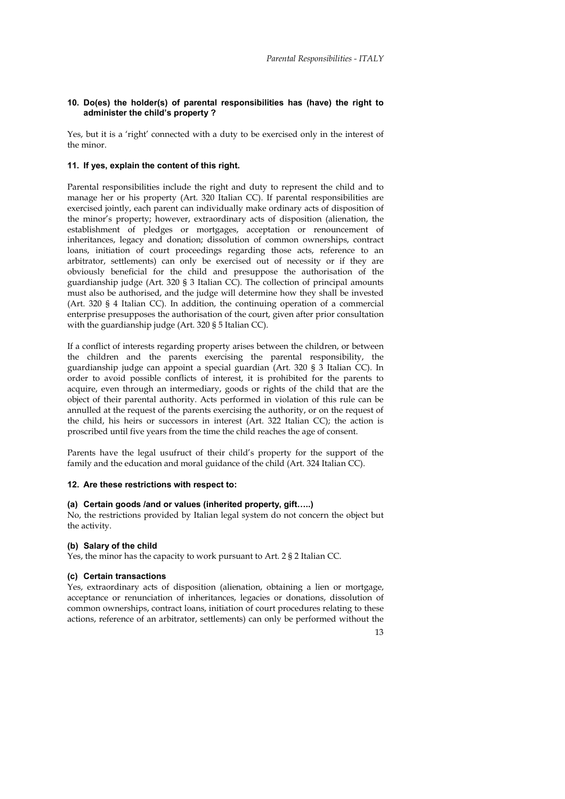## **10. Do(es) the holder(s) of parental responsibilities has (have) the right to administer the child's property ?**

Yes, but it is a 'right' connected with a duty to be exercised only in the interest of the minor.

## **11. If yes, explain the content of this right.**

Parental responsibilities include the right and duty to represent the child and to manage her or his property (Art. 320 Italian CC). If parental responsibilities are exercised jointly, each parent can individually make ordinary acts of disposition of the minor's property; however, extraordinary acts of disposition (alienation, the establishment of pledges or mortgages, acceptation or renouncement of inheritances, legacy and donation; dissolution of common ownerships, contract loans, initiation of court proceedings regarding those acts, reference to an arbitrator, settlements) can only be exercised out of necessity or if they are obviously beneficial for the child and presuppose the authorisation of the guardianship judge (Art. 320 § 3 Italian CC). The collection of principal amounts must also be authorised, and the judge will determine how they shall be invested (Art. 320 § 4 Italian CC). In addition, the continuing operation of a commercial enterprise presupposes the authorisation of the court, given after prior consultation with the guardianship judge (Art. 320 § 5 Italian CC).

If a conflict of interests regarding property arises between the children, or between the children and the parents exercising the parental responsibility, the guardianship judge can appoint a special guardian (Art. 320 § 3 Italian CC). In order to avoid possible conflicts of interest, it is prohibited for the parents to acquire, even through an intermediary, goods or rights of the child that are the object of their parental authority. Acts performed in violation of this rule can be annulled at the request of the parents exercising the authority, or on the request of the child, his heirs or successors in interest (Art. 322 Italian CC); the action is proscribed until five years from the time the child reaches the age of consent.

Parents have the legal usufruct of their child's property for the support of the family and the education and moral guidance of the child (Art. 324 Italian CC).

# **12. Are these restrictions with respect to:**

# **(a) Certain goods /and or values (inherited property, gift…..)**

No, the restrictions provided by Italian legal system do not concern the object but the activity.

## **(b) Salary of the child**

Yes, the minor has the capacity to work pursuant to Art. 2 § 2 Italian CC.

# **(c) Certain transactions**

Yes, extraordinary acts of disposition (alienation, obtaining a lien or mortgage, acceptance or renunciation of inheritances, legacies or donations, dissolution of common ownerships, contract loans, initiation of court procedures relating to these actions, reference of an arbitrator, settlements) can only be performed without the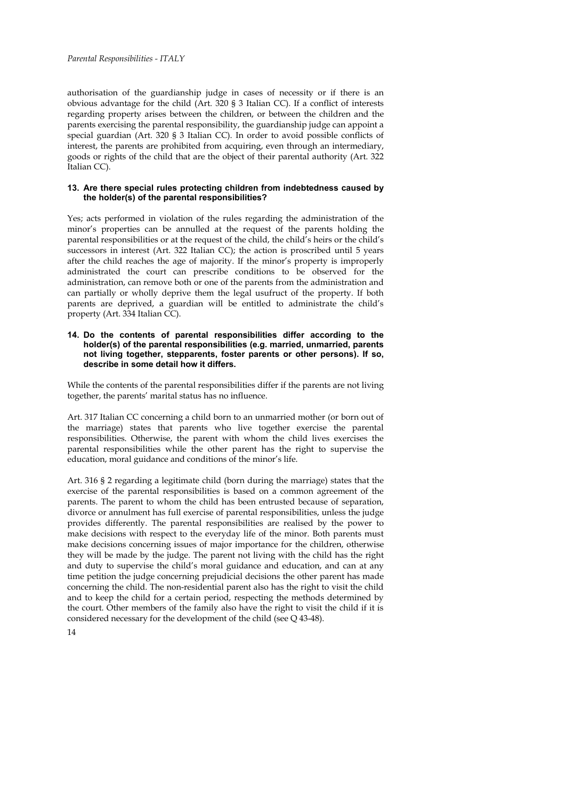authorisation of the guardianship judge in cases of necessity or if there is an obvious advantage for the child (Art. 320 § 3 Italian CC). If a conflict of interests regarding property arises between the children, or between the children and the parents exercising the parental responsibility, the guardianship judge can appoint a special guardian (Art. 320 § 3 Italian CC). In order to avoid possible conflicts of interest, the parents are prohibited from acquiring, even through an intermediary, goods or rights of the child that are the object of their parental authority (Art. 322 Italian CC).

### **13. Are there special rules protecting children from indebtedness caused by the holder(s) of the parental responsibilities?**

Yes; acts performed in violation of the rules regarding the administration of the minor's properties can be annulled at the request of the parents holding the parental responsibilities or at the request of the child, the child's heirs or the child's successors in interest (Art. 322 Italian CC); the action is proscribed until 5 years after the child reaches the age of majority. If the minor's property is improperly administrated the court can prescribe conditions to be observed for the administration, can remove both or one of the parents from the administration and can partially or wholly deprive them the legal usufruct of the property. If both parents are deprived, a guardian will be entitled to administrate the child's property (Art. 334 Italian CC).

### **14. Do the contents of parental responsibilities differ according to the holder(s) of the parental responsibilities (e.g. married, unmarried, parents not living together, stepparents, foster parents or other persons). If so, describe in some detail how it differs.**

While the contents of the parental responsibilities differ if the parents are not living together, the parents' marital status has no influence.

Art. 317 Italian CC concerning a child born to an unmarried mother (or born out of the marriage) states that parents who live together exercise the parental responsibilities. Otherwise, the parent with whom the child lives exercises the parental responsibilities while the other parent has the right to supervise the education, moral guidance and conditions of the minor's life.

Art. 316 § 2 regarding a legitimate child (born during the marriage) states that the exercise of the parental responsibilities is based on a common agreement of the parents. The parent to whom the child has been entrusted because of separation, divorce or annulment has full exercise of parental responsibilities, unless the judge provides differently. The parental responsibilities are realised by the power to make decisions with respect to the everyday life of the minor. Both parents must make decisions concerning issues of major importance for the children, otherwise they will be made by the judge. The parent not living with the child has the right and duty to supervise the child's moral guidance and education, and can at any time petition the judge concerning prejudicial decisions the other parent has made concerning the child. The non-residential parent also has the right to visit the child and to keep the child for a certain period, respecting the methods determined by the court. Other members of the family also have the right to visit the child if it is considered necessary for the development of the child (see Q 43-48).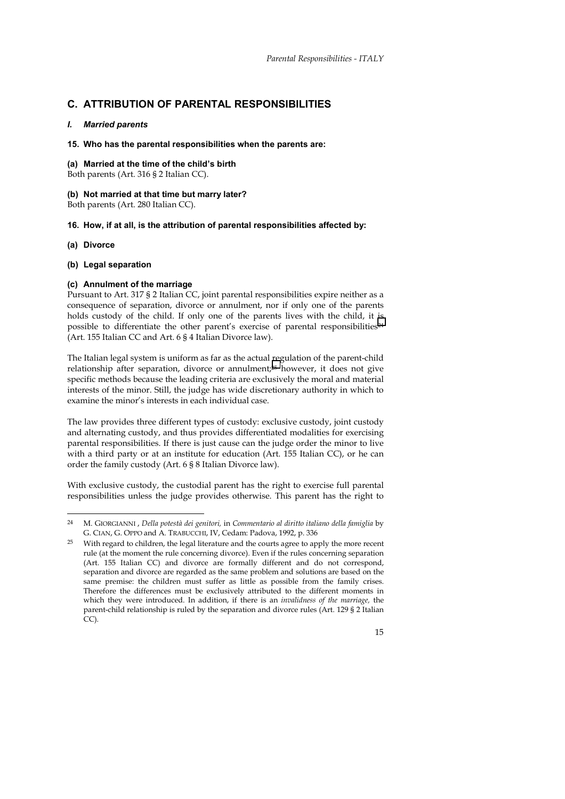# **C. ATTRIBUTION OF PARENTAL RESPONSIBILITIES**

## *I. Married parents*

## **15. Who has the parental responsibilities when the parents are:**

## **(a) Married at the time of the child's birth**

Both parents (Art. 316 § 2 Italian CC).

# **(b) Not married at that time but marry later?**

Both parents (Art. 280 Italian CC).

# **16. How, if at all, is the attribution of parental responsibilities affected by:**

# **(a) Divorce**

 $\overline{a}$ 

# **(b) Legal separation**

# **(c) Annulment of the marriage**

Pursuant to Art. 317 § 2 Italian CC, joint parental responsibilities expire neither as a consequence of separation, divorce or annulment, nor if only one of the parents holds custody of the child. If only one of the parents lives with the child, it is possible to differentiate the other parent's exercise of parental responsibilities<sup>24</sup> (Art. 155 Italian CC and Art. 6 § 4 Italian Divorce law).

The Italian legal system is uniform as far as the actual regulation of the parent-child relationship after separation, divorce or annulment;25 however, it does not give specific methods because the leading criteria are exclusively the moral and material interests of the minor. Still, the judge has wide discretionary authority in which to examine the minor's interests in each individual case.

The law provides three different types of custody: exclusive custody, joint custody and alternating custody, and thus provides differentiated modalities for exercising parental responsibilities. If there is just cause can the judge order the minor to live with a third party or at an institute for education (Art. 155 Italian CC), or he can order the family custody (Art. 6 § 8 Italian Divorce law).

With exclusive custody, the custodial parent has the right to exercise full parental responsibilities unless the judge provides otherwise. This parent has the right to

<sup>24</sup> M. GIORGIANNI , *Della potestà dei genitori,* in *Commentario al diritto italiano della famiglia* by G. CIAN, G. OPPO and A. TRABUCCHI, IV, Cedam: Padova, 1992, p. 336

With regard to children, the legal literature and the courts agree to apply the more recent rule (at the moment the rule concerning divorce). Even if the rules concerning separation (Art. 155 Italian CC) and divorce are formally different and do not correspond, separation and divorce are regarded as the same problem and solutions are based on the same premise: the children must suffer as little as possible from the family crises. Therefore the differences must be exclusively attributed to the different moments in which they were introduced. In addition, if there is an *invalidness of the marriage,* the parent-child relationship is ruled by the separation and divorce rules (Art. 129 § 2 Italian CC).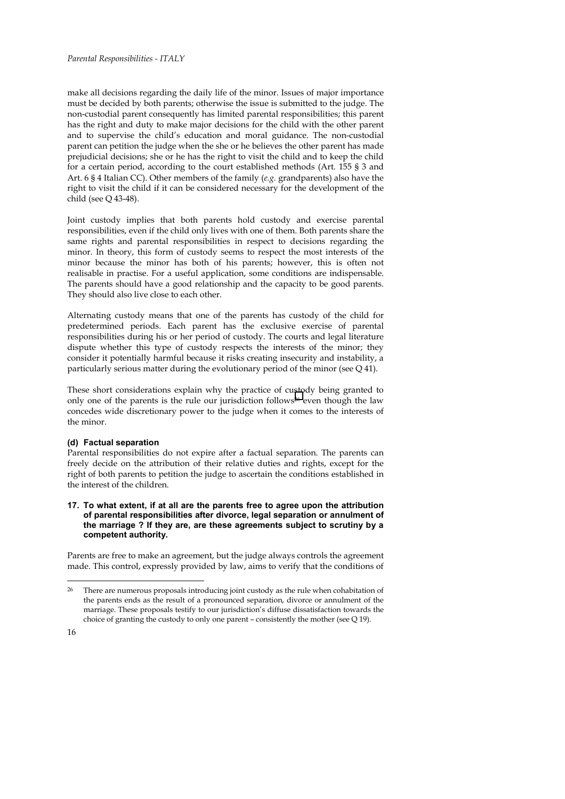### *Parental Responsibilities - ITALY*

make all decisions regarding the daily life of the minor. Issues of major importance must be decided by both parents; otherwise the issue is submitted to the judge. The non-custodial parent consequently has limited parental responsibilities; this parent has the right and duty to make major decisions for the child with the other parent and to supervise the child's education and moral guidance. The non-custodial parent can petition the judge when the she or he believes the other parent has made prejudicial decisions; she or he has the right to visit the child and to keep the child for a certain period, according to the court established methods (Art. 155 § 3 and Art. 6 § 4 Italian CC). Other members of the family (*e.g.* grandparents) also have the right to visit the child if it can be considered necessary for the development of the child (see Q 43-48).

Joint custody implies that both parents hold custody and exercise parental responsibilities, even if the child only lives with one of them. Both parents share the same rights and parental responsibilities in respect to decisions regarding the minor. In theory, this form of custody seems to respect the most interests of the minor because the minor has both of his parents; however, this is often not realisable in practise. For a useful application, some conditions are indispensable. The parents should have a good relationship and the capacity to be good parents. They should also live close to each other.

Alternating custody means that one of the parents has custody of the child for predetermined periods. Each parent has the exclusive exercise of parental responsibilities during his or her period of custody. The courts and legal literature dispute whether this type of custody respects the interests of the minor; they consider it potentially harmful because it risks creating insecurity and instability, a particularly serious matter during the evolutionary period of the minor (see Q 41).

These short considerations explain why the practice of custody being granted to only one of the parents is the rule our jurisdiction follows26 even though the law concedes wide discretionary power to the judge when it comes to the interests of the minor.

#### **(d) Factual separation**

Parental responsibilities do not expire after a factual separation. The parents can freely decide on the attribution of their relative duties and rights, except for the right of both parents to petition the judge to ascertain the conditions established in the interest of the children.

## **17. To what extent, if at all are the parents free to agree upon the attribution of parental responsibilities after divorce, legal separation or annulment of the marriage ? If they are, are these agreements subject to scrutiny by a competent authority.**

Parents are free to make an agreement, but the judge always controls the agreement made. This control, expressly provided by law, aims to verify that the conditions of

<sup>&</sup>lt;sup>26</sup> There are numerous proposals introducing joint custody as the rule when cohabitation of the parents ends as the result of a pronounced separation, divorce or annulment of the marriage. These proposals testify to our jurisdiction's diffuse dissatisfaction towards the choice of granting the custody to only one parent – consistently the mother (see Q 19).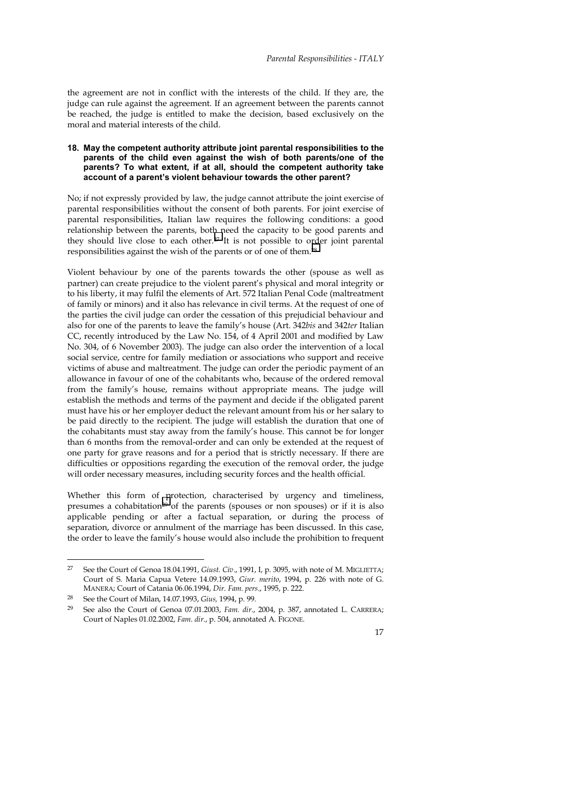the agreement are not in conflict with the interests of the child. If they are, the judge can rule against the agreement. If an agreement between the parents cannot be reached, the judge is entitled to make the decision, based exclusively on the moral and material interests of the child.

#### **18. May the competent authority attribute joint parental responsibilities to the parents of the child even against the wish of both parents/one of the parents? To what extent, if at all, should the competent authority take account of a parent's violent behaviour towards the other parent?**

No; if not expressly provided by law, the judge cannot attribute the joint exercise of parental responsibilities without the consent of both parents. For joint exercise of parental responsibilities, Italian law requires the following conditions: a good relationship between the parents, both need the capacity to be good parents and they should live close to each other.27 It is not possible to order joint parental responsibilities against the wish of the parents or of one of them.28

Violent behaviour by one of the parents towards the other (spouse as well as partner) can create prejudice to the violent parent's physical and moral integrity or to his liberty, it may fulfil the elements of Art. 572 Italian Penal Code (maltreatment of family or minors) and it also has relevance in civil terms. At the request of one of the parties the civil judge can order the cessation of this prejudicial behaviour and also for one of the parents to leave the family's house (Art. 342*bis* and 342*ter* Italian CC, recently introduced by the Law No. 154, of 4 April 2001 and modified by Law No. 304, of 6 November 2003). The judge can also order the intervention of a local social service, centre for family mediation or associations who support and receive victims of abuse and maltreatment. The judge can order the periodic payment of an allowance in favour of one of the cohabitants who, because of the ordered removal from the family's house, remains without appropriate means. The judge will establish the methods and terms of the payment and decide if the obligated parent must have his or her employer deduct the relevant amount from his or her salary to be paid directly to the recipient. The judge will establish the duration that one of the cohabitants must stay away from the family's house. This cannot be for longer than 6 months from the removal-order and can only be extended at the request of one party for grave reasons and for a period that is strictly necessary. If there are difficulties or oppositions regarding the execution of the removal order, the judge will order necessary measures, including security forces and the health official.

Whether this form of protection, characterised by urgency and timeliness, presumes a cohabitation<sup>29</sup> of the parents (spouses or non spouses) or if it is also applicable pending or after a factual separation, or during the process of separation, divorce or annulment of the marriage has been discussed. In this case, the order to leave the family's house would also include the prohibition to frequent

 $\overline{a}$ 

<sup>&</sup>lt;sup>27</sup> See the Court of Genoa 18.04.1991, *Giust. Civ.*, 1991, I, p. 3095, with note of M. MIGLIETTA; Court of S. Maria Capua Vetere 14.09.1993, *Giur. merito*, 1994, p. 226 with note of G. MANERA; Court of Catania 06.06.1994, *Dir. Fam. pers*., 1995, p. 222.

<sup>28</sup> See the Court of Milan, 14.07.1993, *Gius,* 1994, p. 99.

<sup>29</sup> See also the Court of Genoa 07.01.2003, *Fam. dir*., 2004, p. 387, annotated L. CARRERA; Court of Naples 01.02.2002, *Fam. dir.*, p. 504, annotated A. FIGONE.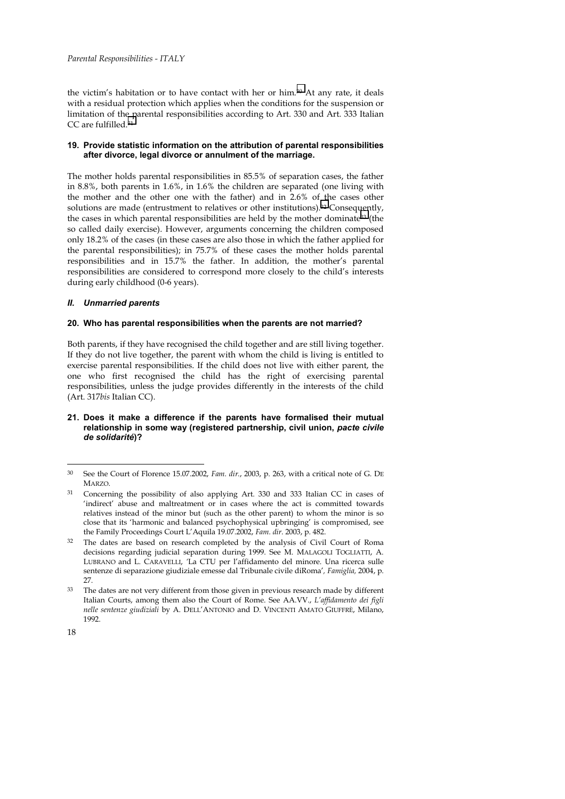the victim's habitation or to have contact with her or him.30 At any rate, it deals with a residual protection which applies when the conditions for the suspension or limitation of the parental responsibilities according to Art. 330 and Art. 333 Italian CC are fulfilled.31

## **19. Provide statistic information on the attribution of parental responsibilities after divorce, legal divorce or annulment of the marriage.**

The mother holds parental responsibilities in 85.5% of separation cases, the father in 8.8%, both parents in 1.6%, in 1.6% the children are separated (one living with the mother and the other one with the father) and in 2.6% of the cases other solutions are made (entrustment to relatives or other institutions).32 Consequently, the cases in which parental responsibilities are held by the mother dominate33 (the so called daily exercise). However, arguments concerning the children composed only 18.2% of the cases (in these cases are also those in which the father applied for the parental responsibilities); in 75.7% of these cases the mother holds parental responsibilities and in 15.7% the father. In addition, the mother's parental responsibilities are considered to correspond more closely to the child's interests during early childhood (0-6 years).

#### *II. Unmarried parents*

#### **20. Who has parental responsibilities when the parents are not married?**

Both parents, if they have recognised the child together and are still living together. If they do not live together, the parent with whom the child is living is entitled to exercise parental responsibilities. If the child does not live with either parent, the one who first recognised the child has the right of exercising parental responsibilities, unless the judge provides differently in the interests of the child (Art. 317*bis* Italian CC).

#### **21. Does it make a difference if the parents have formalised their mutual relationship in some way (registered partnership, civil union,** *pacte civile de solidarité***)?**

<sup>30</sup> See the Court of Florence 15.07.2002, *Fam. dir.*, 2003, p. 263, with a critical note of G. DE **MARZO** 

<sup>31</sup> Concerning the possibility of also applying Art. 330 and 333 Italian CC in cases of 'indirect' abuse and maltreatment or in cases where the act is committed towards relatives instead of the minor but (such as the other parent) to whom the minor is so close that its 'harmonic and balanced psychophysical upbringing' is compromised, see the Family Proceedings Court L'Aquila 19.07.2002, *Fam. dir*. 2003, p. 482.

The dates are based on research completed by the analysis of Civil Court of Roma decisions regarding judicial separation during 1999. See M. MALAGOLI TOGLIATTI, A. LUBRANO and L. CARAVELLI, *'*La CTU per l'affidamento del minore. Una ricerca sulle sentenze di separazione giudiziale emesse dal Tribunale civile diRoma'*, Famiglia,* 2004, p. 27.

<sup>33</sup> The dates are not very different from those given in previous research made by different Italian Courts, among them also the Court of Rome. See AA.VV., *L'affidamento dei figli nelle sentenze giudiziali* by A. DELL'ANTONIO and D. VINCENTI AMATO GIUFFRÈ, Milano, 1992.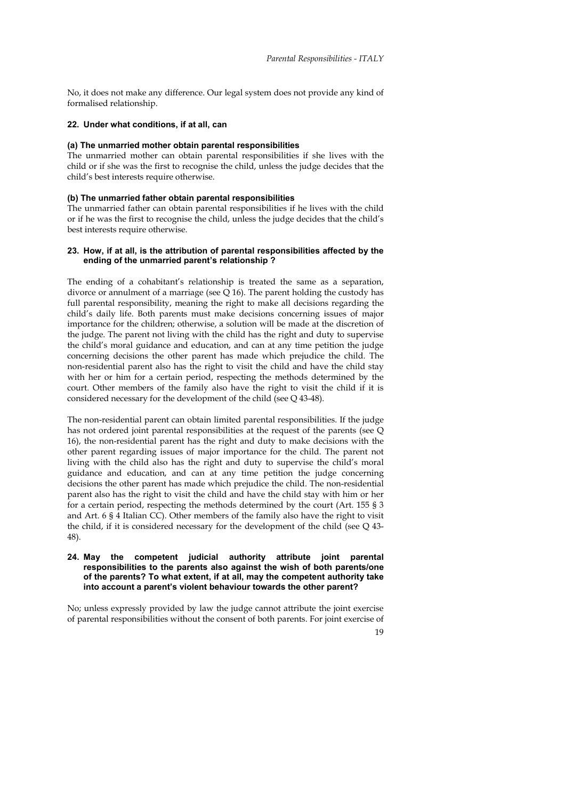No, it does not make any difference. Our legal system does not provide any kind of formalised relationship.

#### **22. Under what conditions, if at all, can**

#### **(a) The unmarried mother obtain parental responsibilities**

The unmarried mother can obtain parental responsibilities if she lives with the child or if she was the first to recognise the child, unless the judge decides that the child's best interests require otherwise.

#### **(b) The unmarried father obtain parental responsibilities**

The unmarried father can obtain parental responsibilities if he lives with the child or if he was the first to recognise the child, unless the judge decides that the child's best interests require otherwise.

#### **23. How, if at all, is the attribution of parental responsibilities affected by the ending of the unmarried parent's relationship ?**

The ending of a cohabitant's relationship is treated the same as a separation, divorce or annulment of a marriage (see Q 16). The parent holding the custody has full parental responsibility, meaning the right to make all decisions regarding the child's daily life. Both parents must make decisions concerning issues of major importance for the children; otherwise, a solution will be made at the discretion of the judge. The parent not living with the child has the right and duty to supervise the child's moral guidance and education, and can at any time petition the judge concerning decisions the other parent has made which prejudice the child. The non-residential parent also has the right to visit the child and have the child stay with her or him for a certain period, respecting the methods determined by the court. Other members of the family also have the right to visit the child if it is considered necessary for the development of the child (see Q 43-48).

The non-residential parent can obtain limited parental responsibilities. If the judge has not ordered joint parental responsibilities at the request of the parents (see Q 16), the non-residential parent has the right and duty to make decisions with the other parent regarding issues of major importance for the child. The parent not living with the child also has the right and duty to supervise the child's moral guidance and education, and can at any time petition the judge concerning decisions the other parent has made which prejudice the child. The non-residential parent also has the right to visit the child and have the child stay with him or her for a certain period, respecting the methods determined by the court (Art. 155 § 3 and Art. 6 § 4 Italian CC). Other members of the family also have the right to visit the child, if it is considered necessary for the development of the child (see Q 43- 48).

#### **24. May the competent judicial authority attribute joint parental responsibilities to the parents also against the wish of both parents/one of the parents? To what extent, if at all, may the competent authority take into account a parent's violent behaviour towards the other parent?**

No; unless expressly provided by law the judge cannot attribute the joint exercise of parental responsibilities without the consent of both parents. For joint exercise of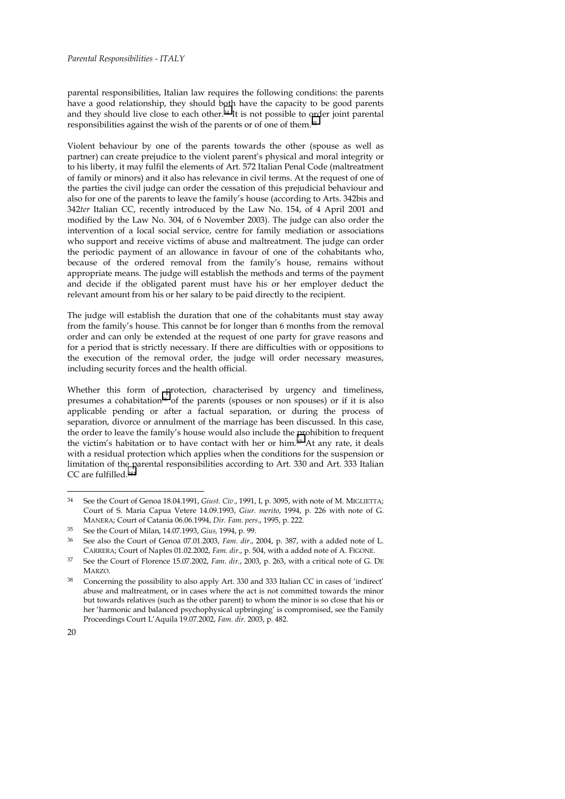parental responsibilities, Italian law requires the following conditions: the parents have a good relationship, they should both have the capacity to be good parents and they should live close to each other.34 It is not possible to order joint parental responsibilities against the wish of the parents or of one of them.35

Violent behaviour by one of the parents towards the other (spouse as well as partner) can create prejudice to the violent parent's physical and moral integrity or to his liberty, it may fulfil the elements of Art. 572 Italian Penal Code (maltreatment of family or minors) and it also has relevance in civil terms. At the request of one of the parties the civil judge can order the cessation of this prejudicial behaviour and also for one of the parents to leave the family's house (according to Arts. 342bis and 342*ter* Italian CC, recently introduced by the Law No. 154, of 4 April 2001 and modified by the Law No. 304, of 6 November 2003). The judge can also order the intervention of a local social service, centre for family mediation or associations who support and receive victims of abuse and maltreatment. The judge can order the periodic payment of an allowance in favour of one of the cohabitants who, because of the ordered removal from the family's house, remains without appropriate means. The judge will establish the methods and terms of the payment and decide if the obligated parent must have his or her employer deduct the relevant amount from his or her salary to be paid directly to the recipient.

The judge will establish the duration that one of the cohabitants must stay away from the family's house. This cannot be for longer than 6 months from the removal order and can only be extended at the request of one party for grave reasons and for a period that is strictly necessary. If there are difficulties with or oppositions to the execution of the removal order, the judge will order necessary measures, including security forces and the health official.

Whether this form of protection, characterised by urgency and timeliness, presumes a cohabitation36 of the parents (spouses or non spouses) or if it is also applicable pending or after a factual separation, or during the process of separation, divorce or annulment of the marriage has been discussed. In this case, the order to leave the family's house would also include the prohibition to frequent the victim's habitation or to have contact with her or him.37 At any rate, it deals with a residual protection which applies when the conditions for the suspension or limitation of the parental responsibilities according to Art. 330 and Art. 333 Italian CC are fulfilled.<sup>381</sup>

<sup>34</sup> See the Court of Genoa 18.04.1991, *Giust. Civ*., 1991, I, p. 3095, with note of M. MIGLIETTA; Court of S. Maria Capua Vetere 14.09.1993, *Giur. merito*, 1994, p. 226 with note of G. MANERA; Court of Catania 06.06.1994, *Dir. Fam. pers*., 1995, p. 222.

<sup>35</sup> See the Court of Milan, 14.07.1993, *Gius,* 1994, p. 99.

<sup>36</sup> See also the Court of Genoa 07.01.2003, *Fam. dir*., 2004, p. 387, with a added note of L. CARRERA; Court of Naples 01.02.2002, *Fam. dir.*, p. 504, with a added note of A. FIGONE.

<sup>37</sup> See the Court of Florence 15.07.2002, *Fam. dir.*, 2003, p. 263, with a critical note of G. DE **MARZO** 

<sup>38</sup> Concerning the possibility to also apply Art. 330 and 333 Italian CC in cases of 'indirect' abuse and maltreatment, or in cases where the act is not committed towards the minor but towards relatives (such as the other parent) to whom the minor is so close that his or her 'harmonic and balanced psychophysical upbringing' is compromised, see the Family Proceedings Court L'Aquila 19.07.2002, *Fam. dir*. 2003, p. 482.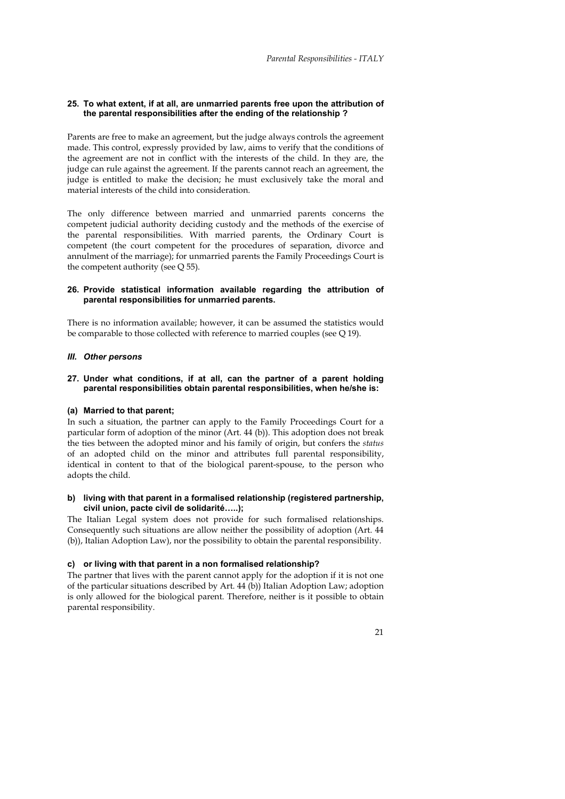#### **25. To what extent, if at all, are unmarried parents free upon the attribution of the parental responsibilities after the ending of the relationship ?**

Parents are free to make an agreement, but the judge always controls the agreement made. This control, expressly provided by law, aims to verify that the conditions of the agreement are not in conflict with the interests of the child. In they are, the judge can rule against the agreement. If the parents cannot reach an agreement, the judge is entitled to make the decision; he must exclusively take the moral and material interests of the child into consideration.

The only difference between married and unmarried parents concerns the competent judicial authority deciding custody and the methods of the exercise of the parental responsibilities. With married parents, the Ordinary Court is competent (the court competent for the procedures of separation, divorce and annulment of the marriage); for unmarried parents the Family Proceedings Court is the competent authority (see Q 55).

### **26. Provide statistical information available regarding the attribution of parental responsibilities for unmarried parents.**

There is no information available; however, it can be assumed the statistics would be comparable to those collected with reference to married couples (see Q 19).

# *III. Other persons*

## **27. Under what conditions, if at all, can the partner of a parent holding parental responsibilities obtain parental responsibilities, when he/she is:**

#### **(a) Married to that parent;**

In such a situation, the partner can apply to the Family Proceedings Court for a particular form of adoption of the minor (Art. 44 (b)). This adoption does not break the ties between the adopted minor and his family of origin, but confers the *status* of an adopted child on the minor and attributes full parental responsibility, identical in content to that of the biological parent-spouse, to the person who adopts the child.

## **b) living with that parent in a formalised relationship (registered partnership, civil union, pacte civil de solidarité…..);**

The Italian Legal system does not provide for such formalised relationships. Consequently such situations are allow neither the possibility of adoption (Art. 44 (b)), Italian Adoption Law), nor the possibility to obtain the parental responsibility.

#### **c) or living with that parent in a non formalised relationship?**

The partner that lives with the parent cannot apply for the adoption if it is not one of the particular situations described by Art. 44 (b)) Italian Adoption Law; adoption is only allowed for the biological parent. Therefore, neither is it possible to obtain parental responsibility.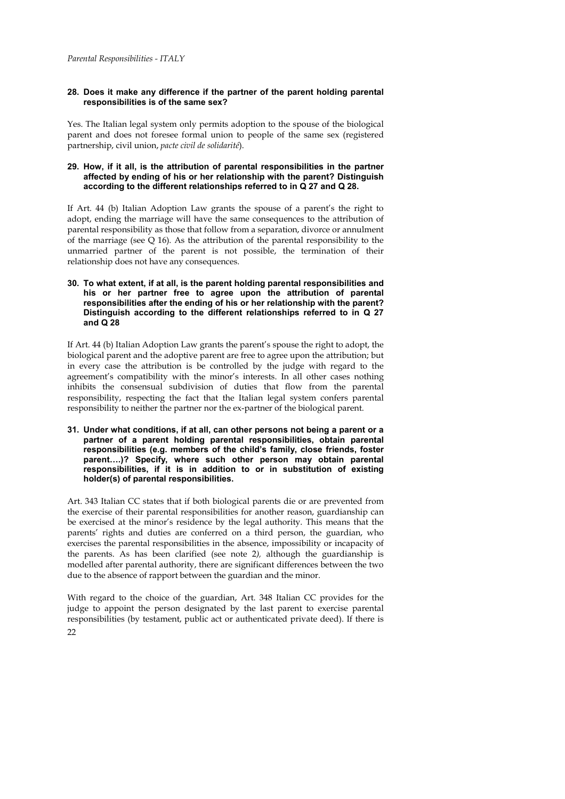## **28. Does it make any difference if the partner of the parent holding parental responsibilities is of the same sex?**

Yes. The Italian legal system only permits adoption to the spouse of the biological parent and does not foresee formal union to people of the same sex (registered partnership, civil union, *pacte civil de solidarité*).

## **29. How, if it all, is the attribution of parental responsibilities in the partner affected by ending of his or her relationship with the parent? Distinguish according to the different relationships referred to in Q 27 and Q 28.**

If Art. 44 (b) Italian Adoption Law grants the spouse of a parent's the right to adopt, ending the marriage will have the same consequences to the attribution of parental responsibility as those that follow from a separation, divorce or annulment of the marriage (see Q 16). As the attribution of the parental responsibility to the unmarried partner of the parent is not possible, the termination of their relationship does not have any consequences.

## **30. To what extent, if at all, is the parent holding parental responsibilities and his or her partner free to agree upon the attribution of parental responsibilities after the ending of his or her relationship with the parent? Distinguish according to the different relationships referred to in Q 27 and Q 28**

If Art. 44 (b) Italian Adoption Law grants the parent's spouse the right to adopt, the biological parent and the adoptive parent are free to agree upon the attribution; but in every case the attribution is be controlled by the judge with regard to the agreement's compatibility with the minor's interests. In all other cases nothing inhibits the consensual subdivision of duties that flow from the parental responsibility, respecting the fact that the Italian legal system confers parental responsibility to neither the partner nor the ex-partner of the biological parent.

**31. Under what conditions, if at all, can other persons not being a parent or a partner of a parent holding parental responsibilities, obtain parental responsibilities (e.g. members of the child's family, close friends, foster parent….)? Specify, where such other person may obtain parental responsibilities, if it is in addition to or in substitution of existing holder(s) of parental responsibilities.** 

Art. 343 Italian CC states that if both biological parents die or are prevented from the exercise of their parental responsibilities for another reason, guardianship can be exercised at the minor's residence by the legal authority. This means that the parents' rights and duties are conferred on a third person, the guardian, who exercises the parental responsibilities in the absence, impossibility or incapacity of the parents. As has been clarified (see note 2*),* although the guardianship is modelled after parental authority, there are significant differences between the two due to the absence of rapport between the guardian and the minor.

 $22$ With regard to the choice of the guardian, Art. 348 Italian CC provides for the judge to appoint the person designated by the last parent to exercise parental responsibilities (by testament, public act or authenticated private deed). If there is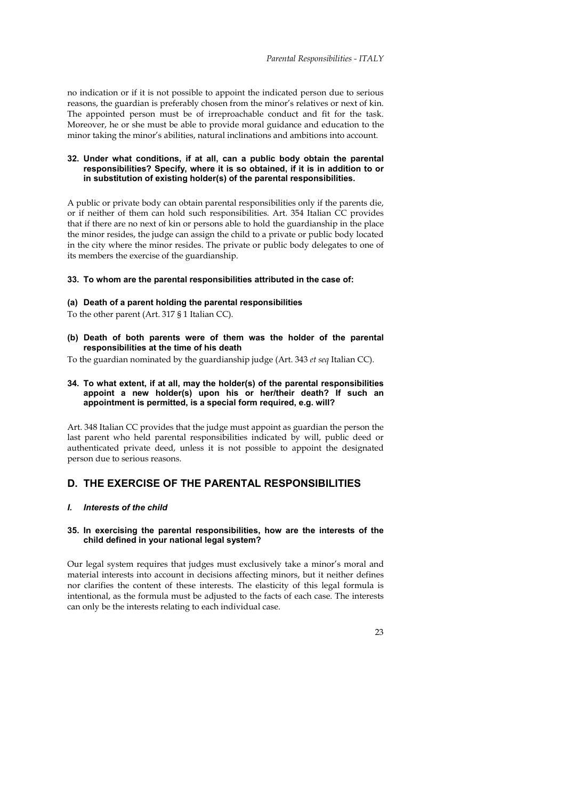no indication or if it is not possible to appoint the indicated person due to serious reasons, the guardian is preferably chosen from the minor's relatives or next of kin. The appointed person must be of irreproachable conduct and fit for the task. Moreover, he or she must be able to provide moral guidance and education to the minor taking the minor's abilities, natural inclinations and ambitions into account.

#### **32. Under what conditions, if at all, can a public body obtain the parental responsibilities? Specify, where it is so obtained, if it is in addition to or in substitution of existing holder(s) of the parental responsibilities.**

A public or private body can obtain parental responsibilities only if the parents die, or if neither of them can hold such responsibilities. Art. 354 Italian CC provides that if there are no next of kin or persons able to hold the guardianship in the place the minor resides, the judge can assign the child to a private or public body located in the city where the minor resides. The private or public body delegates to one of its members the exercise of the guardianship.

#### **33. To whom are the parental responsibilities attributed in the case of:**

#### **(a) Death of a parent holding the parental responsibilities**

To the other parent (Art. 317 § 1 Italian CC).

**(b) Death of both parents were of them was the holder of the parental responsibilities at the time of his death** 

To the guardian nominated by the guardianship judge (Art. 343 *et seq* Italian CC).

#### **34. To what extent, if at all, may the holder(s) of the parental responsibilities appoint a new holder(s) upon his or her/their death? If such an appointment is permitted, is a special form required, e.g. will?**

Art. 348 Italian CC provides that the judge must appoint as guardian the person the last parent who held parental responsibilities indicated by will, public deed or authenticated private deed, unless it is not possible to appoint the designated person due to serious reasons.

# **D. THE EXERCISE OF THE PARENTAL RESPONSIBILITIES**

#### *I. Interests of the child*

#### **35. In exercising the parental responsibilities, how are the interests of the child defined in your national legal system?**

Our legal system requires that judges must exclusively take a minor's moral and material interests into account in decisions affecting minors, but it neither defines nor clarifies the content of these interests. The elasticity of this legal formula is intentional, as the formula must be adjusted to the facts of each case. The interests can only be the interests relating to each individual case.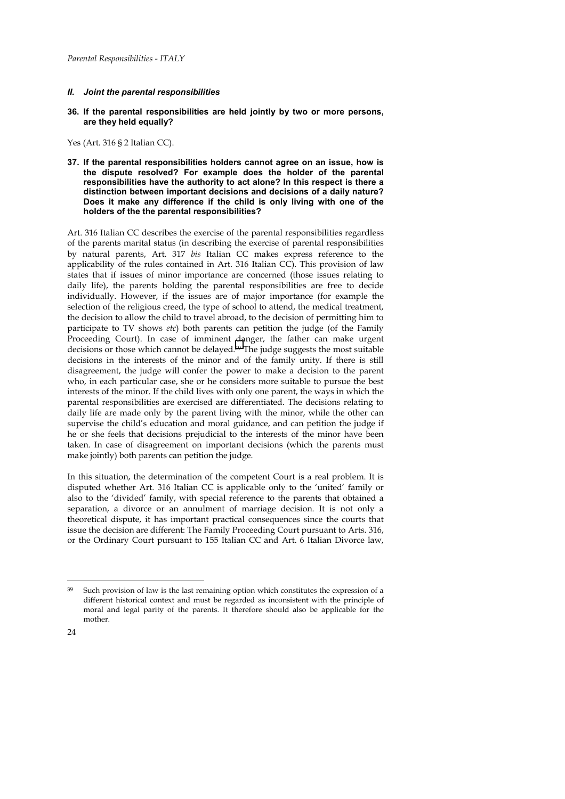## *II. Joint the parental responsibilities*

**36. If the parental responsibilities are held jointly by two or more persons, are they held equally?** 

Yes (Art. 316 § 2 Italian CC).

**37. If the parental responsibilities holders cannot agree on an issue, how is the dispute resolved? For example does the holder of the parental responsibilities have the authority to act alone? In this respect is there a distinction between important decisions and decisions of a daily nature? Does it make any difference if the child is only living with one of the holders of the the parental responsibilities?** 

Art. 316 Italian CC describes the exercise of the parental responsibilities regardless of the parents marital status (in describing the exercise of parental responsibilities by natural parents, Art. 317 *bis* Italian CC makes express reference to the applicability of the rules contained in Art. 316 Italian CC). This provision of law states that if issues of minor importance are concerned (those issues relating to daily life), the parents holding the parental responsibilities are free to decide individually. However, if the issues are of major importance (for example the selection of the religious creed, the type of school to attend, the medical treatment, the decision to allow the child to travel abroad, to the decision of permitting him to participate to TV shows *etc*) both parents can petition the judge (of the Family Proceeding Court). In case of imminent danger, the father can make urgent decisions or those which cannot be delayed.39 The judge suggests the most suitable decisions in the interests of the minor and of the family unity. If there is still disagreement, the judge will confer the power to make a decision to the parent who, in each particular case, she or he considers more suitable to pursue the best interests of the minor. If the child lives with only one parent, the ways in which the parental responsibilities are exercised are differentiated. The decisions relating to daily life are made only by the parent living with the minor, while the other can supervise the child's education and moral guidance, and can petition the judge if he or she feels that decisions prejudicial to the interests of the minor have been taken. In case of disagreement on important decisions (which the parents must make jointly) both parents can petition the judge.

In this situation, the determination of the competent Court is a real problem. It is disputed whether Art. 316 Italian CC is applicable only to the 'united' family or also to the 'divided' family, with special reference to the parents that obtained a separation, a divorce or an annulment of marriage decision. It is not only a theoretical dispute, it has important practical consequences since the courts that issue the decision are different: The Family Proceeding Court pursuant to Arts. 316, or the Ordinary Court pursuant to 155 Italian CC and Art. 6 Italian Divorce law,

<sup>39</sup> Such provision of law is the last remaining option which constitutes the expression of a different historical context and must be regarded as inconsistent with the principle of moral and legal parity of the parents. It therefore should also be applicable for the mother.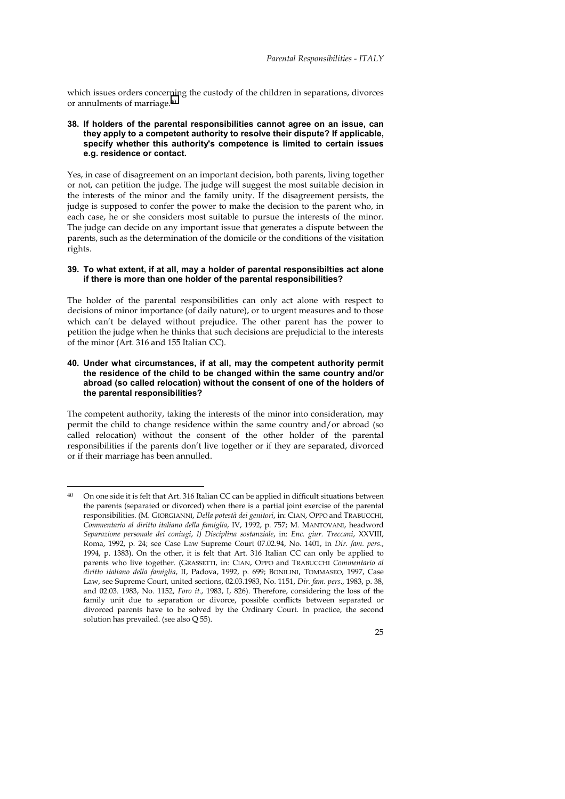which issues orders concerning the custody of the children in separations, divorces or annulments of marriage.40

**38. If holders of the parental responsibilities cannot agree on an issue, can they apply to a competent authority to resolve their dispute? If applicable, specify whether this authority's competence is limited to certain issues e.g. residence or contact.** 

Yes, in case of disagreement on an important decision, both parents, living together or not, can petition the judge. The judge will suggest the most suitable decision in the interests of the minor and the family unity. If the disagreement persists, the judge is supposed to confer the power to make the decision to the parent who, in each case, he or she considers most suitable to pursue the interests of the minor. The judge can decide on any important issue that generates a dispute between the parents, such as the determination of the domicile or the conditions of the visitation rights.

#### **39. To what extent, if at all, may a holder of parental responsibilties act alone if there is more than one holder of the parental responsibilities?**

The holder of the parental responsibilities can only act alone with respect to decisions of minor importance (of daily nature), or to urgent measures and to those which can't be delayed without prejudice. The other parent has the power to petition the judge when he thinks that such decisions are prejudicial to the interests of the minor (Art. 316 and 155 Italian CC).

#### **40. Under what circumstances, if at all, may the competent authority permit the residence of the child to be changed within the same country and/or abroad (so called relocation) without the consent of one of the holders of the parental responsibilities?**

The competent authority, taking the interests of the minor into consideration, may permit the child to change residence within the same country and/or abroad (so called relocation) without the consent of the other holder of the parental responsibilities if the parents don't live together or if they are separated, divorced or if their marriage has been annulled.

j

<sup>40</sup> On one side it is felt that Art. 316 Italian CC can be applied in difficult situations between the parents (separated or divorced) when there is a partial joint exercise of the parental responsibilities. (M. GIORGIANNI, *Della potestà dei genitori*, in: CIAN, OPPO and TRABUCCHI, *Commentario al diritto italiano della famiglia*, IV, 1992, p. 757; M. MANTOVANI, headword *Separazione personale dei coniugi*, *I) Disciplina sostanziale*, in: *Enc. giur. Treccani*, XXVIII, Roma, 1992, p. 24; see Case Law Supreme Court 07.02.94, No. 1401, in *Dir. fam. pers*., 1994, p. 1383). On the other, it is felt that Art. 316 Italian CC can only be applied to parents who live together. (GRASSETTI, in: CIAN, OPPO and TRABUCCHI *Commentario al diritto italiano della famiglia*, II, Padova, 1992, p. 699; BONILINI, TOMMASEO, 1997, Case Law, see Supreme Court, united sections, 02.03.1983, No. 1151, *Dir. fam. pers*., 1983, p. 38, and 02.03. 1983, No. 1152, *Foro it*., 1983, I, 826). Therefore, considering the loss of the family unit due to separation or divorce, possible conflicts between separated or divorced parents have to be solved by the Ordinary Court. In practice, the second solution has prevailed. (see also Q 55).

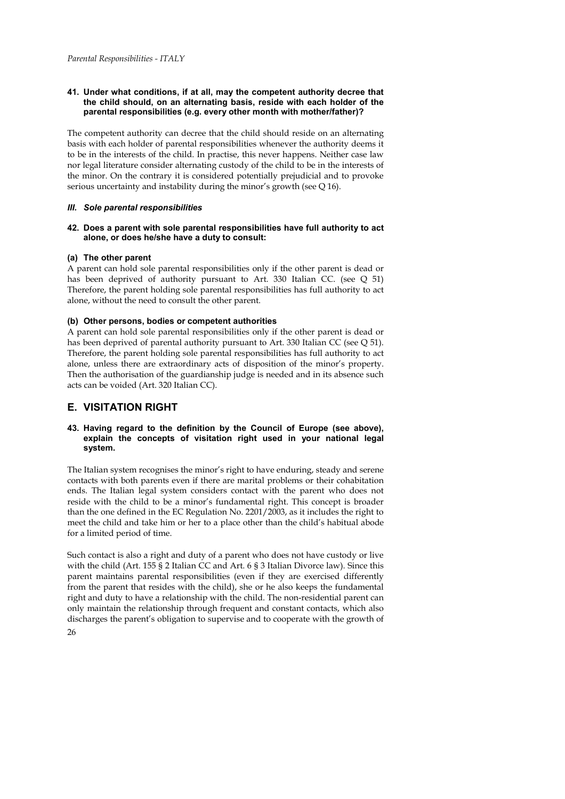### **41. Under what conditions, if at all, may the competent authority decree that the child should, on an alternating basis, reside with each holder of the parental responsibilities (e.g. every other month with mother/father)?**

The competent authority can decree that the child should reside on an alternating basis with each holder of parental responsibilities whenever the authority deems it to be in the interests of the child. In practise, this never happens. Neither case law nor legal literature consider alternating custody of the child to be in the interests of the minor. On the contrary it is considered potentially prejudicial and to provoke serious uncertainty and instability during the minor's growth (see Q 16).

## *III. Sole parental responsibilities*

## **42. Does a parent with sole parental responsibilities have full authority to act alone, or does he/she have a duty to consult:**

# **(a) The other parent**

A parent can hold sole parental responsibilities only if the other parent is dead or has been deprived of authority pursuant to Art. 330 Italian CC. (see Q 51) Therefore, the parent holding sole parental responsibilities has full authority to act alone, without the need to consult the other parent.

# **(b) Other persons, bodies or competent authorities**

A parent can hold sole parental responsibilities only if the other parent is dead or has been deprived of parental authority pursuant to Art. 330 Italian CC (see Q 51). Therefore, the parent holding sole parental responsibilities has full authority to act alone, unless there are extraordinary acts of disposition of the minor's property. Then the authorisation of the guardianship judge is needed and in its absence such acts can be voided (Art. 320 Italian CC).

# **E. VISITATION RIGHT**

## **43. Having regard to the definition by the Council of Europe (see above), explain the concepts of visitation right used in your national legal system.**

The Italian system recognises the minor's right to have enduring, steady and serene contacts with both parents even if there are marital problems or their cohabitation ends. The Italian legal system considers contact with the parent who does not reside with the child to be a minor's fundamental right. This concept is broader than the one defined in the EC Regulation No. 2201/2003, as it includes the right to meet the child and take him or her to a place other than the child's habitual abode for a limited period of time.

26 Such contact is also a right and duty of a parent who does not have custody or live with the child (Art. 155 § 2 Italian CC and Art. 6 § 3 Italian Divorce law). Since this parent maintains parental responsibilities (even if they are exercised differently from the parent that resides with the child), she or he also keeps the fundamental right and duty to have a relationship with the child. The non-residential parent can only maintain the relationship through frequent and constant contacts, which also discharges the parent's obligation to supervise and to cooperate with the growth of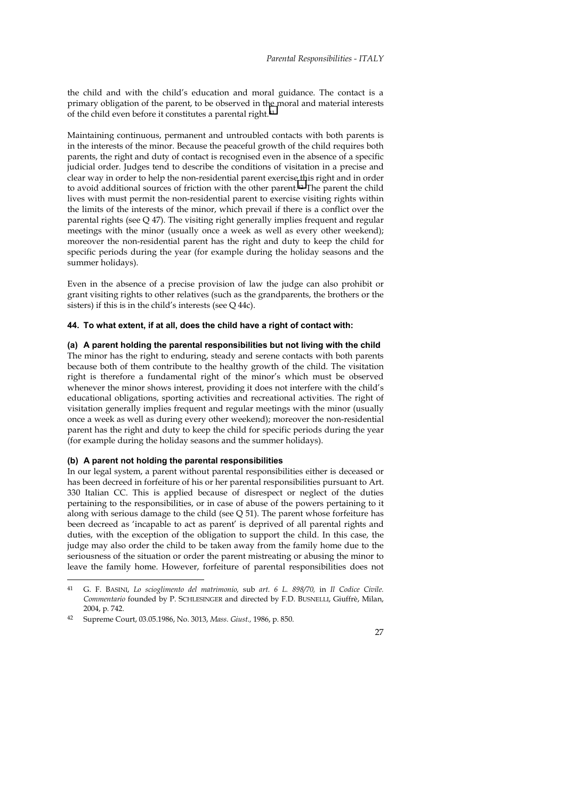the child and with the child's education and moral guidance. The contact is a primary obligation of the parent, to be observed in the moral and material interests of the child even before it constitutes a parental right.41

Maintaining continuous, permanent and untroubled contacts with both parents is in the interests of the minor. Because the peaceful growth of the child requires both parents, the right and duty of contact is recognised even in the absence of a specific judicial order. Judges tend to describe the conditions of visitation in a precise and clear way in order to help the non-residential parent exercise this right and in order to avoid additional sources of friction with the other parent.42 The parent the child lives with must permit the non-residential parent to exercise visiting rights within the limits of the interests of the minor, which prevail if there is a conflict over the parental rights (see Q 47). The visiting right generally implies frequent and regular meetings with the minor (usually once a week as well as every other weekend); moreover the non-residential parent has the right and duty to keep the child for specific periods during the year (for example during the holiday seasons and the summer holidays).

Even in the absence of a precise provision of law the judge can also prohibit or grant visiting rights to other relatives (such as the grandparents, the brothers or the sisters) if this is in the child's interests (see Q 44c).

#### **44. To what extent, if at all, does the child have a right of contact with:**

#### **(a) A parent holding the parental responsibilities but not living with the child**

The minor has the right to enduring, steady and serene contacts with both parents because both of them contribute to the healthy growth of the child. The visitation right is therefore a fundamental right of the minor's which must be observed whenever the minor shows interest, providing it does not interfere with the child's educational obligations, sporting activities and recreational activities. The right of visitation generally implies frequent and regular meetings with the minor (usually once a week as well as during every other weekend); moreover the non-residential parent has the right and duty to keep the child for specific periods during the year (for example during the holiday seasons and the summer holidays).

## **(b) A parent not holding the parental responsibilities**

In our legal system, a parent without parental responsibilities either is deceased or has been decreed in forfeiture of his or her parental responsibilities pursuant to Art. 330 Italian CC. This is applied because of disrespect or neglect of the duties pertaining to the responsibilities, or in case of abuse of the powers pertaining to it along with serious damage to the child (see Q 51). The parent whose forfeiture has been decreed as 'incapable to act as parent' is deprived of all parental rights and duties, with the exception of the obligation to support the child. In this case, the judge may also order the child to be taken away from the family home due to the seriousness of the situation or order the parent mistreating or abusing the minor to leave the family home. However, forfeiture of parental responsibilities does not

 $\overline{a}$ 

<sup>41</sup> G. F. BASINI, *Lo scioglimento del matrimonio,* sub *art. 6 L. 898/70,* in *Il Codice Civile. Commentario* founded by P. SCHLESINGER and directed by F.D. BUSNELLI, Giuffrè, Milan, 2004, p. 742.

<sup>42</sup> Supreme Court, 03.05.1986, No. 3013, *Mass. Giust.,* 1986, p. 850.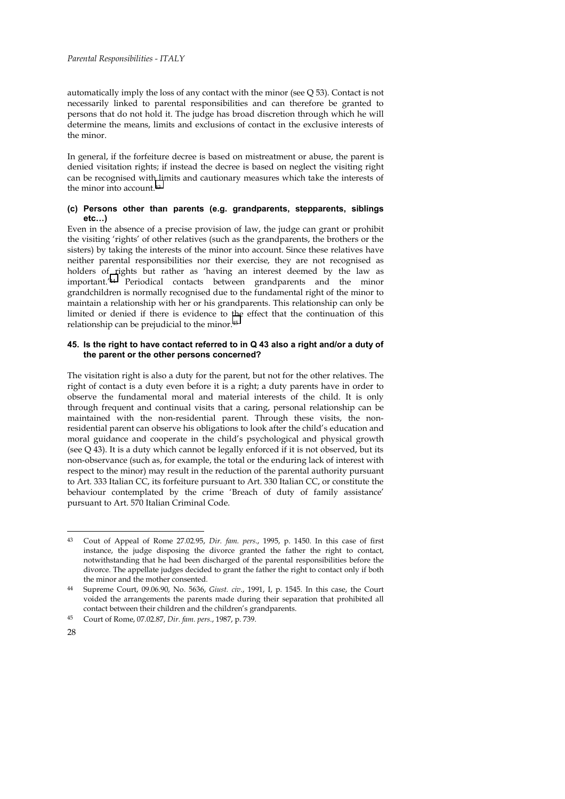automatically imply the loss of any contact with the minor (see Q 53). Contact is not necessarily linked to parental responsibilities and can therefore be granted to persons that do not hold it. The judge has broad discretion through which he will determine the means, limits and exclusions of contact in the exclusive interests of the minor.

In general, if the forfeiture decree is based on mistreatment or abuse, the parent is denied visitation rights; if instead the decree is based on neglect the visiting right can be recognised with limits and cautionary measures which take the interests of the minor into account.43

## **(c) Persons other than parents (e.g. grandparents, stepparents, siblings etc…)**

Even in the absence of a precise provision of law, the judge can grant or prohibit the visiting 'rights' of other relatives (such as the grandparents, the brothers or the sisters) by taking the interests of the minor into account. Since these relatives have neither parental responsibilities nor their exercise, they are not recognised as holders of rights but rather as 'having an interest deemed by the law as important.'44 Periodical contacts between grandparents and the minor grandchildren is normally recognised due to the fundamental right of the minor to maintain a relationship with her or his grandparents. This relationship can only be limited or denied if there is evidence to the effect that the continuation of this relationship can be prejudicial to the minor.45

## **45. Is the right to have contact referred to in Q 43 also a right and/or a duty of the parent or the other persons concerned?**

The visitation right is also a duty for the parent, but not for the other relatives. The right of contact is a duty even before it is a right; a duty parents have in order to observe the fundamental moral and material interests of the child. It is only through frequent and continual visits that a caring, personal relationship can be maintained with the non-residential parent. Through these visits, the nonresidential parent can observe his obligations to look after the child's education and moral guidance and cooperate in the child's psychological and physical growth (see  $Q$  43). It is a duty which cannot be legally enforced if it is not observed, but its non-observance (such as, for example, the total or the enduring lack of interest with respect to the minor) may result in the reduction of the parental authority pursuant to Art. 333 Italian CC, its forfeiture pursuant to Art. 330 Italian CC, or constitute the behaviour contemplated by the crime 'Breach of duty of family assistance' pursuant to Art. 570 Italian Criminal Code.

<sup>43</sup> Cout of Appeal of Rome 27.02.95, *Dir. fam. pers*., 1995, p. 1450. In this case of first instance, the judge disposing the divorce granted the father the right to contact, notwithstanding that he had been discharged of the parental responsibilities before the divorce. The appellate judges decided to grant the father the right to contact only if both the minor and the mother consented.

<sup>44</sup> Supreme Court, 09.06.90, No. 5636, *Giust. civ*., 1991, I, p. 1545. In this case, the Court voided the arrangements the parents made during their separation that prohibited all contact between their children and the children's grandparents.

<sup>45</sup> Court of Rome, 07.02.87, *Dir. fam. pers*., 1987, p. 739.

<sup>28</sup>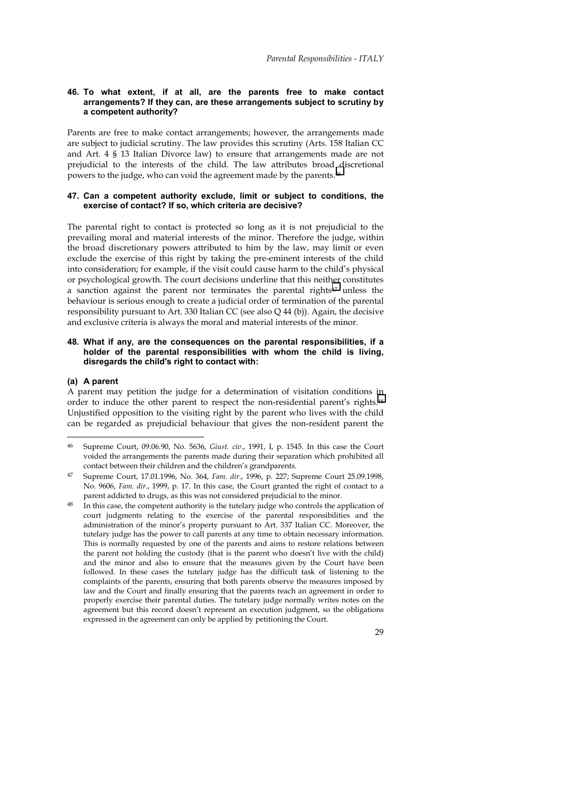#### **46. To what extent, if at all, are the parents free to make contact arrangements? If they can, are these arrangements subject to scrutiny by a competent authority?**

Parents are free to make contact arrangements; however, the arrangements made are subject to judicial scrutiny. The law provides this scrutiny (Arts. 158 Italian CC and Art. 4 § 13 Italian Divorce law) to ensure that arrangements made are not prejudicial to the interests of the child. The law attributes broad discretional powers to the judge, who can void the agreement made by the parents.46

## **47. Can a competent authority exclude, limit or subject to conditions, the exercise of contact? If so, which criteria are decisive?**

The parental right to contact is protected so long as it is not prejudicial to the prevailing moral and material interests of the minor. Therefore the judge, within the broad discretionary powers attributed to him by the law, may limit or even exclude the exercise of this right by taking the pre-eminent interests of the child into consideration; for example, if the visit could cause harm to the child's physical or psychological growth. The court decisions underline that this neither constitutes a sanction against the parent nor terminates the parental rights47 unless the behaviour is serious enough to create a judicial order of termination of the parental responsibility pursuant to Art. 330 Italian CC (see also Q 44 (b)). Again, the decisive and exclusive criteria is always the moral and material interests of the minor.

## **48. What if any, are the consequences on the parental responsibilities, if a holder of the parental responsibilities with whom the child is living, disregards the child's right to contact with:**

#### **(a) A parent**

 $\overline{a}$ 

A parent may petition the judge for a determination of visitation conditions in order to induce the other parent to respect the non-residential parent's rights.48 Unjustified opposition to the visiting right by the parent who lives with the child can be regarded as prejudicial behaviour that gives the non-resident parent the

<sup>46</sup> Supreme Court, 09.06.90, No. 5636, *Giust. civ*., 1991, I, p. 1545. In this case the Court voided the arrangements the parents made during their separation which prohibited all contact between their children and the children's grandparents.

<sup>47</sup> Supreme Court, 17.01.1996, No. 364, *Fam. dir*., 1996, p. 227; Supreme Court 25.09.1998, No. 9606, *Fam. dir*., 1999, p. 17. In this case, the Court granted the right of contact to a parent addicted to drugs, as this was not considered prejudicial to the minor.

In this case, the competent authority is the tutelary judge who controls the application of court judgments relating to the exercise of the parental responsibilities and the administration of the minor's property pursuant to Art. 337 Italian CC. Moreover, the tutelary judge has the power to call parents at any time to obtain necessary information. This is normally requested by one of the parents and aims to restore relations between the parent not holding the custody (that is the parent who doesn't live with the child) and the minor and also to ensure that the measures given by the Court have been followed. In these cases the tutelary judge has the difficult task of listening to the complaints of the parents, ensuring that both parents observe the measures imposed by law and the Court and finally ensuring that the parents reach an agreement in order to properly exercise their parental duties. The tutelary judge normally writes notes on the agreement but this record doesn't represent an execution judgment, so the obligations expressed in the agreement can only be applied by petitioning the Court.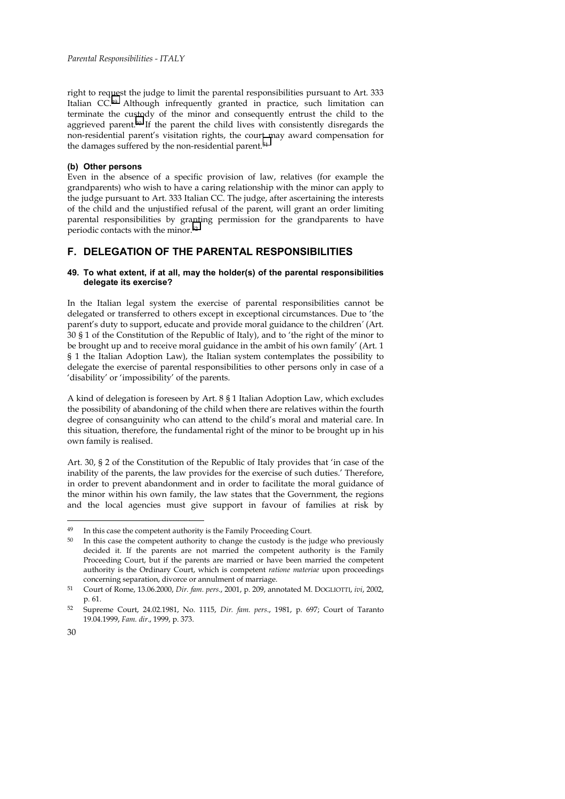right to request the judge to limit the parental responsibilities pursuant to Art. 333 Italian CC.49 Although infrequently granted in practice, such limitation can terminate the custody of the minor and consequently entrust the child to the aggrieved parent.50 If the parent the child lives with consistently disregards the non-residential parent's visitation rights, the court may award compensation for the damages suffered by the non-residential parent.<sup>51</sup>

### **(b) Other persons**

Even in the absence of a specific provision of law, relatives (for example the grandparents) who wish to have a caring relationship with the minor can apply to the judge pursuant to Art. 333 Italian CC. The judge, after ascertaining the interests of the child and the unjustified refusal of the parent, will grant an order limiting parental responsibilities by granting permission for the grandparents to have periodic contacts with the minor.<sup>52</sup>

# **F. DELEGATION OF THE PARENTAL RESPONSIBILITIES**

## **49. To what extent, if at all, may the holder(s) of the parental responsibilities delegate its exercise?**

In the Italian legal system the exercise of parental responsibilities cannot be delegated or transferred to others except in exceptional circumstances. Due to 'the parent's duty to support, educate and provide moral guidance to the children*'* (Art. 30 § 1 of the Constitution of the Republic of Italy), and to 'the right of the minor to be brought up and to receive moral guidance in the ambit of his own family' (Art. 1 § 1 the Italian Adoption Law), the Italian system contemplates the possibility to delegate the exercise of parental responsibilities to other persons only in case of a 'disability' or 'impossibility' of the parents.

A kind of delegation is foreseen by Art. 8 § 1 Italian Adoption Law, which excludes the possibility of abandoning of the child when there are relatives within the fourth degree of consanguinity who can attend to the child's moral and material care. In this situation, therefore, the fundamental right of the minor to be brought up in his own family is realised.

Art. 30, § 2 of the Constitution of the Republic of Italy provides that 'in case of the inability of the parents, the law provides for the exercise of such duties.' Therefore, in order to prevent abandonment and in order to facilitate the moral guidance of the minor within his own family, the law states that the Government, the regions and the local agencies must give support in favour of families at risk by

<sup>49</sup> In this case the competent authority is the Family Proceeding Court.

<sup>&</sup>lt;sup>50</sup> In this case the competent authority to change the custody is the judge who previously decided it. If the parents are not married the competent authority is the Family Proceeding Court, but if the parents are married or have been married the competent authority is the Ordinary Court, which is competent *ratione materiae* upon proceedings concerning separation, divorce or annulment of marriage.

<sup>51</sup> Court of Rome, 13.06.2000, *Dir. fam. pers*., 2001, p. 209, annotated M. DOGLIOTTI, *ivi*, 2002, p. 61.

<sup>52</sup> Supreme Court, 24.02.1981, No. 1115, *Dir. fam. pers*., 1981, p. 697; Court of Taranto 19.04.1999, *Fam. dir*., 1999, p. 373.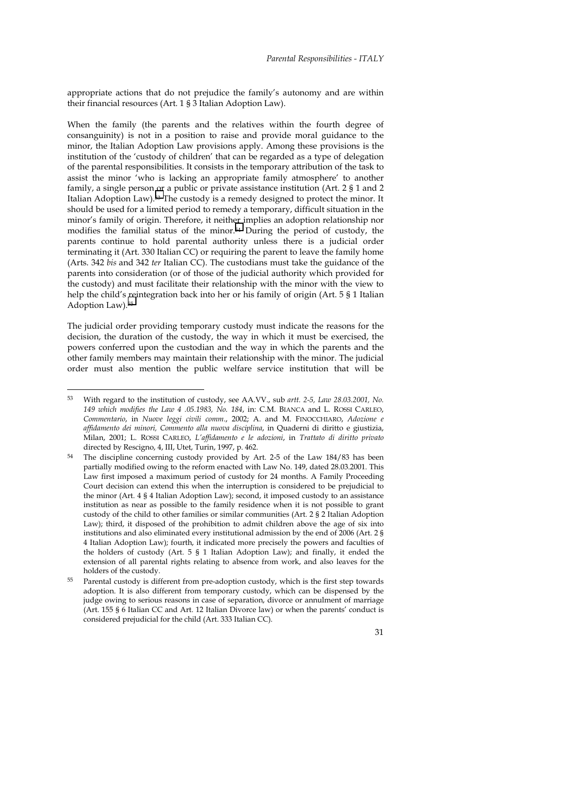appropriate actions that do not prejudice the family's autonomy and are within their financial resources (Art. 1 § 3 Italian Adoption Law).

When the family (the parents and the relatives within the fourth degree of consanguinity) is not in a position to raise and provide moral guidance to the minor, the Italian Adoption Law provisions apply. Among these provisions is the institution of the 'custody of children' that can be regarded as a type of delegation of the parental responsibilities. It consists in the temporary attribution of the task to assist the minor 'who is lacking an appropriate family atmosphere' to another family, a single person or a public or private assistance institution (Art. 2 § 1 and 2 Italian Adoption Law).53 The custody is a remedy designed to protect the minor. It should be used for a limited period to remedy a temporary, difficult situation in the minor's family of origin. Therefore, it neither implies an adoption relationship nor modifies the familial status of the minor.54 During the period of custody, the parents continue to hold parental authority unless there is a judicial order terminating it (Art. 330 Italian CC) or requiring the parent to leave the family home (Arts. 342 *bis* and 342 *ter* Italian CC). The custodians must take the guidance of the parents into consideration (or of those of the judicial authority which provided for the custody) and must facilitate their relationship with the minor with the view to help the child's reintegration back into her or his family of origin (Art. 5 § 1 Italian Adoption Law).55

The judicial order providing temporary custody must indicate the reasons for the decision, the duration of the custody, the way in which it must be exercised, the powers conferred upon the custodian and the way in which the parents and the other family members may maintain their relationship with the minor. The judicial order must also mention the public welfare service institution that will be

 $\overline{a}$ 

<sup>53</sup> With regard to the institution of custody, see AA.VV., sub *artt. 2-5, Law 28.03.2001, No. 149 which modifies the Law 4 .05.1983, No. 184*, in: C.M. BIANCA and L. ROSSI CARLEO, *Commentario*, in *Nuove leggi civili comm*., 2002; A. and M. FINOCCHIARO, *Adozione e affidamento dei minori, Commento alla nuova disciplina*, in Quaderni di diritto e giustizia, Milan, 2001; L. ROSSI CARLEO, *L'affidamento e le adozioni*, in *Trattato di diritto privato* directed by Rescigno, 4, III, Utet, Turin, 1997, p. 462.

The discipline concerning custody provided by Art. 2-5 of the Law 184/83 has been partially modified owing to the reform enacted with Law No. 149, dated 28.03.2001. This Law first imposed a maximum period of custody for 24 months. A Family Proceeding Court decision can extend this when the interruption is considered to be prejudicial to the minor (Art. 4 § 4 Italian Adoption Law); second, it imposed custody to an assistance institution as near as possible to the family residence when it is not possible to grant custody of the child to other families or similar communities (Art. 2 § 2 Italian Adoption Law); third, it disposed of the prohibition to admit children above the age of six into institutions and also eliminated every institutional admission by the end of 2006 (Art. 2 § 4 Italian Adoption Law); fourth, it indicated more precisely the powers and faculties of the holders of custody (Art. 5 § 1 Italian Adoption Law); and finally, it ended the extension of all parental rights relating to absence from work, and also leaves for the holders of the custody.

Parental custody is different from pre-adoption custody, which is the first step towards adoption. It is also different from temporary custody, which can be dispensed by the judge owing to serious reasons in case of separation, divorce or annulment of marriage (Art. 155 § 6 Italian CC and Art. 12 Italian Divorce law) or when the parents' conduct is considered prejudicial for the child (Art. 333 Italian CC).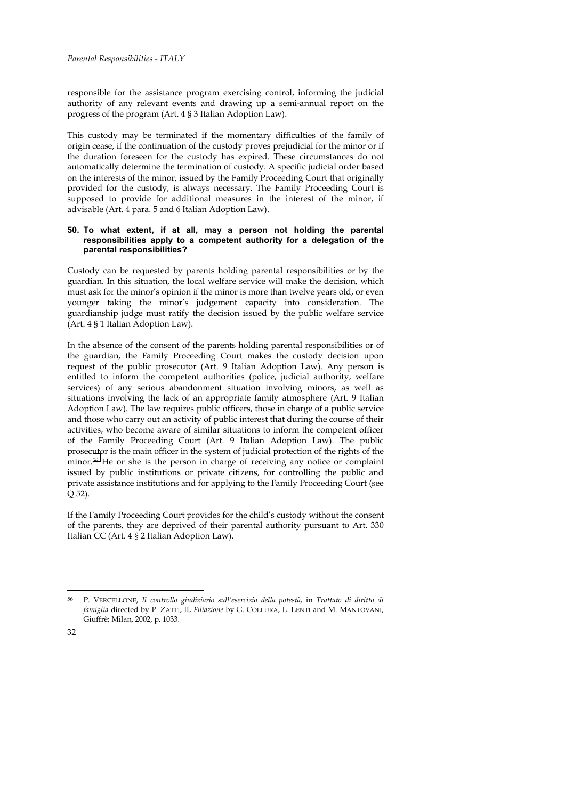responsible for the assistance program exercising control, informing the judicial authority of any relevant events and drawing up a semi-annual report on the progress of the program (Art. 4 § 3 Italian Adoption Law).

This custody may be terminated if the momentary difficulties of the family of origin cease, if the continuation of the custody proves prejudicial for the minor or if the duration foreseen for the custody has expired. These circumstances do not automatically determine the termination of custody. A specific judicial order based on the interests of the minor, issued by the Family Proceeding Court that originally provided for the custody, is always necessary. The Family Proceeding Court is supposed to provide for additional measures in the interest of the minor, if advisable (Art. 4 para. 5 and 6 Italian Adoption Law).

## **50. To what extent, if at all, may a person not holding the parental responsibilities apply to a competent authority for a delegation of the parental responsibilities?**

Custody can be requested by parents holding parental responsibilities or by the guardian. In this situation, the local welfare service will make the decision, which must ask for the minor's opinion if the minor is more than twelve years old, or even younger taking the minor's judgement capacity into consideration. The guardianship judge must ratify the decision issued by the public welfare service (Art. 4 § 1 Italian Adoption Law).

In the absence of the consent of the parents holding parental responsibilities or of the guardian, the Family Proceeding Court makes the custody decision upon request of the public prosecutor (Art. 9 Italian Adoption Law). Any person is entitled to inform the competent authorities (police, judicial authority, welfare services) of any serious abandonment situation involving minors, as well as situations involving the lack of an appropriate family atmosphere (Art. 9 Italian Adoption Law). The law requires public officers, those in charge of a public service and those who carry out an activity of public interest that during the course of their activities, who become aware of similar situations to inform the competent officer of the Family Proceeding Court (Art. 9 Italian Adoption Law). The public prosecutor is the main officer in the system of judicial protection of the rights of the minor.<sup>56</sup> He or she is the person in charge of receiving any notice or complaint issued by public institutions or private citizens, for controlling the public and private assistance institutions and for applying to the Family Proceeding Court (see Q 52).

If the Family Proceeding Court provides for the child's custody without the consent of the parents, they are deprived of their parental authority pursuant to Art. 330 Italian CC (Art. 4 § 2 Italian Adoption Law).

j

<sup>56</sup> P. VERCELLONE, *Il controllo giudiziario sull'esercizio della potestà*, in *Trattato di diritto di famiglia* directed by P. ZATTI, II, *Filiazione* by G. COLLURA, L. LENTI and M. MANTOVANI, Giuffrè: Milan, 2002, p. 1033.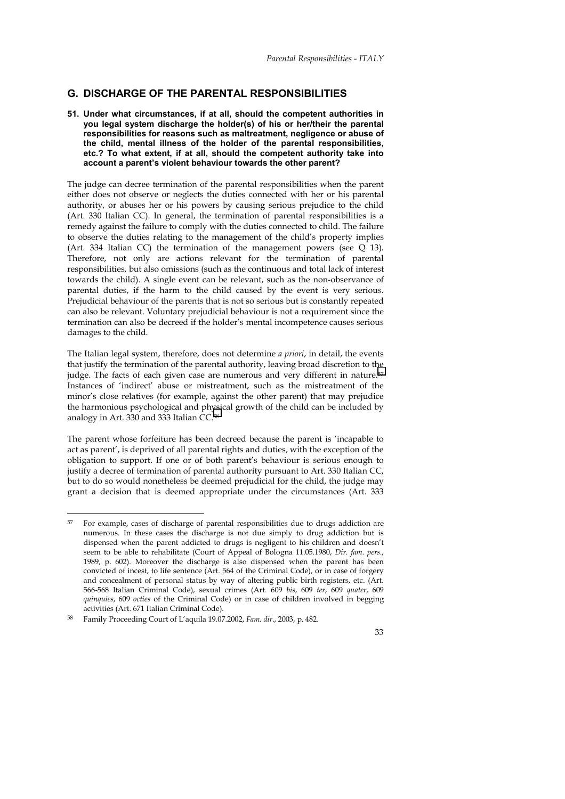# **G. DISCHARGE OF THE PARENTAL RESPONSIBILITIES**

**51. Under what circumstances, if at all, should the competent authorities in you legal system discharge the holder(s) of his or her/their the parental responsibilities for reasons such as maltreatment, negligence or abuse of the child, mental illness of the holder of the parental responsibilities, etc.? To what extent, if at all, should the competent authority take into account a parent's violent behaviour towards the other parent?** 

The judge can decree termination of the parental responsibilities when the parent either does not observe or neglects the duties connected with her or his parental authority, or abuses her or his powers by causing serious prejudice to the child (Art. 330 Italian CC). In general, the termination of parental responsibilities is a remedy against the failure to comply with the duties connected to child. The failure to observe the duties relating to the management of the child's property implies (Art. 334 Italian CC) the termination of the management powers (see Q 13). Therefore, not only are actions relevant for the termination of parental responsibilities, but also omissions (such as the continuous and total lack of interest towards the child). A single event can be relevant, such as the non-observance of parental duties, if the harm to the child caused by the event is very serious. Prejudicial behaviour of the parents that is not so serious but is constantly repeated can also be relevant. Voluntary prejudicial behaviour is not a requirement since the termination can also be decreed if the holder's mental incompetence causes serious damages to the child.

The Italian legal system, therefore, does not determine *a priori*, in detail, the events that justify the termination of the parental authority, leaving broad discretion to the judge. The facts of each given case are numerous and very different in nature.<sup>57</sup> Instances of 'indirect' abuse or mistreatment, such as the mistreatment of the minor's close relatives (for example, against the other parent) that may prejudice the harmonious psychological and physical growth of the child can be included by analogy in Art. 330 and 333 Italian CC.58

The parent whose forfeiture has been decreed because the parent is 'incapable to act as parent', is deprived of all parental rights and duties, with the exception of the obligation to support. If one or of both parent's behaviour is serious enough to justify a decree of termination of parental authority pursuant to Art. 330 Italian CC, but to do so would nonetheless be deemed prejudicial for the child, the judge may grant a decision that is deemed appropriate under the circumstances (Art. 333

 $\overline{a}$ 

<sup>57</sup> For example, cases of discharge of parental responsibilities due to drugs addiction are numerous. In these cases the discharge is not due simply to drug addiction but is dispensed when the parent addicted to drugs is negligent to his children and doesn't seem to be able to rehabilitate (Court of Appeal of Bologna 11.05.1980, *Dir. fam. pers*., 1989, p. 602). Moreover the discharge is also dispensed when the parent has been convicted of incest, to life sentence (Art. 564 of the Criminal Code), or in case of forgery and concealment of personal status by way of altering public birth registers, etc. (Art. 566-568 Italian Criminal Code), sexual crimes (Art. 609 *bis*, 609 *ter*, 609 *quater*, 609 *quinquies*, 609 *octies* of the Criminal Code) or in case of children involved in begging activities (Art. 671 Italian Criminal Code).

<sup>58</sup> Family Proceeding Court of L'aquila 19.07.2002, *Fam. dir*., 2003, p. 482.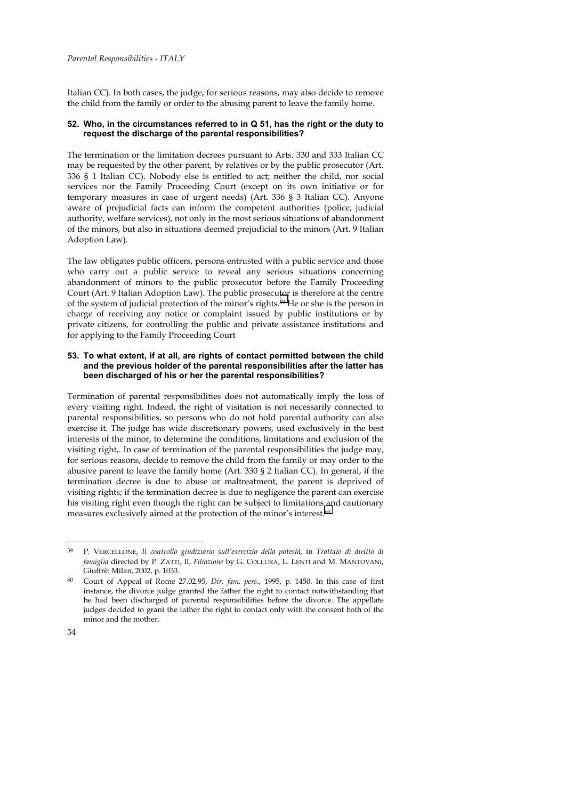Italian CC). In both cases, the judge, for serious reasons, may also decide to remove the child from the family or order to the abusing parent to leave the family home.

## **52. Who, in the circumstances referred to in Q 51, has the right or the duty to request the discharge of the parental responsibilities?**

The termination or the limitation decrees pursuant to Arts. 330 and 333 Italian CC may be requested by the other parent, by relatives or by the public prosecutor (Art. 336 § 1 Italian CC). Nobody else is entitled to act; neither the child, nor social services nor the Family Proceeding Court (except on its own initiative or for temporary measures in case of urgent needs) (Art. 336 § 3 Italian CC). Anyone aware of prejudicial facts can inform the competent authorities (police, judicial authority, welfare services), not only in the most serious situations of abandonment of the minors, but also in situations deemed prejudicial to the minors (Art. 9 Italian Adoption Law).

The law obligates public officers, persons entrusted with a public service and those who carry out a public service to reveal any serious situations concerning abandonment of minors to the public prosecutor before the Family Proceeding Court (Art. 9 Italian Adoption Law). The public prosecutor is therefore at the centre of the system of judicial protection of the minor's rights.59 He or she is the person in charge of receiving any notice or complaint issued by public institutions or by private citizens, for controlling the public and private assistance institutions and for applying to the Family Proceeding Court

## **53. To what extent, if at all, are rights of contact permitted between the child and the previous holder of the parental responsibilities after the latter has been discharged of his or her the parental responsibilities?**

Termination of parental responsibilities does not automatically imply the loss of every visiting right. Indeed, the right of visitation is not necessarily connected to parental responsibilities, so persons who do not hold parental authority can also exercise it. The judge has wide discretionary powers, used exclusively in the best interests of the minor, to determine the conditions, limitations and exclusion of the visiting right,. In case of termination of the parental responsibilities the judge may, for serious reasons, decide to remove the child from the family or may order to the abusive parent to leave the family home (Art. 330 § 2 Italian CC). In general, if the termination decree is due to abuse or maltreatment, the parent is deprived of visiting rights; if the termination decree is due to negligence the parent can exercise his visiting right even though the right can be subject to limitations and cautionary measures exclusively aimed at the protection of the minor's interest.60

j

<sup>59</sup> P. VERCELLONE, *Il controllo giudiziario sull'esercizio della potestà*, in *Trattato di diritto di famiglia* directed by P. ZATTI, II, *Filiazione* by G. COLLURA, L. LENTI and M. MANTOVANI, Giuffrè: Milan, 2002, p. 1033.

<sup>60</sup> Court of Appeal of Rome 27.02.95, *Dir. fam. pers*., 1995, p. 1450. In this case of first instance, the divorce judge granted the father the right to contact notwithstanding that he had been discharged of parental responsibilities before the divorce. The appellate judges decided to grant the father the right to contact only with the consent both of the minor and the mother.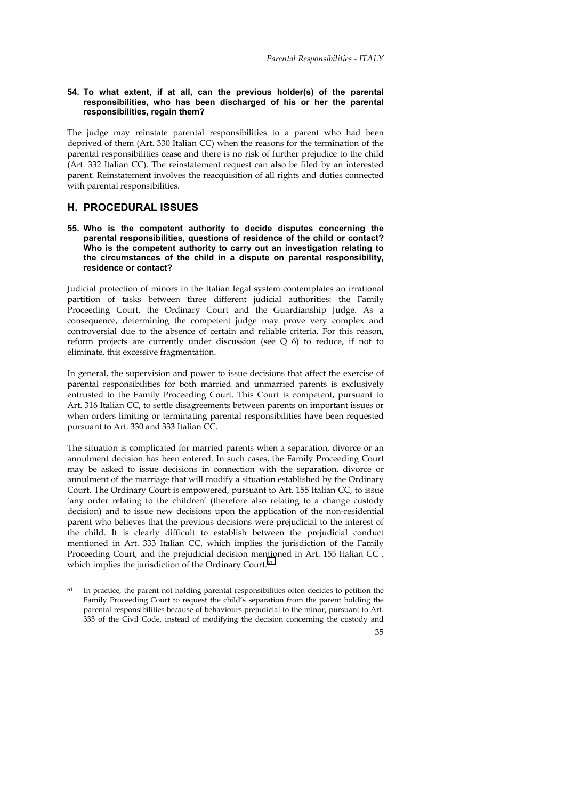#### **54. To what extent, if at all, can the previous holder(s) of the parental responsibilities, who has been discharged of his or her the parental responsibilities, regain them?**

The judge may reinstate parental responsibilities to a parent who had been deprived of them (Art. 330 Italian CC) when the reasons for the termination of the parental responsibilities cease and there is no risk of further prejudice to the child (Art. 332 Italian CC). The reinstatement request can also be filed by an interested parent. Reinstatement involves the reacquisition of all rights and duties connected with parental responsibilities.

## **H. PROCEDURAL ISSUES**

 $\overline{a}$ 

#### **55. Who is the competent authority to decide disputes concerning the parental responsibilities, questions of residence of the child or contact? Who is the competent authority to carry out an investigation relating to the circumstances of the child in a dispute on parental responsibility, residence or contact?**

Judicial protection of minors in the Italian legal system contemplates an irrational partition of tasks between three different judicial authorities: the Family Proceeding Court, the Ordinary Court and the Guardianship Judge. As a consequence, determining the competent judge may prove very complex and controversial due to the absence of certain and reliable criteria. For this reason, reform projects are currently under discussion (see Q 6) to reduce, if not to eliminate, this excessive fragmentation.

In general, the supervision and power to issue decisions that affect the exercise of parental responsibilities for both married and unmarried parents is exclusively entrusted to the Family Proceeding Court. This Court is competent, pursuant to Art. 316 Italian CC, to settle disagreements between parents on important issues or when orders limiting or terminating parental responsibilities have been requested pursuant to Art. 330 and 333 Italian CC.

The situation is complicated for married parents when a separation, divorce or an annulment decision has been entered. In such cases, the Family Proceeding Court may be asked to issue decisions in connection with the separation, divorce or annulment of the marriage that will modify a situation established by the Ordinary Court. The Ordinary Court is empowered, pursuant to Art. 155 Italian CC, to issue 'any order relating to the children' (therefore also relating to a change custody decision) and to issue new decisions upon the application of the non-residential parent who believes that the previous decisions were prejudicial to the interest of the child. It is clearly difficult to establish between the prejudicial conduct mentioned in Art. 333 Italian CC, which implies the jurisdiction of the Family Proceeding Court, and the prejudicial decision mentioned in Art. 155 Italian CC, which implies the jurisdiction of the Ordinary Court.<sup>61</sup>

 $61$  In practice, the parent not holding parental responsibilities often decides to petition the Family Proceeding Court to request the child's separation from the parent holding the parental responsibilities because of behaviours prejudicial to the minor, pursuant to Art. 333 of the Civil Code, instead of modifying the decision concerning the custody and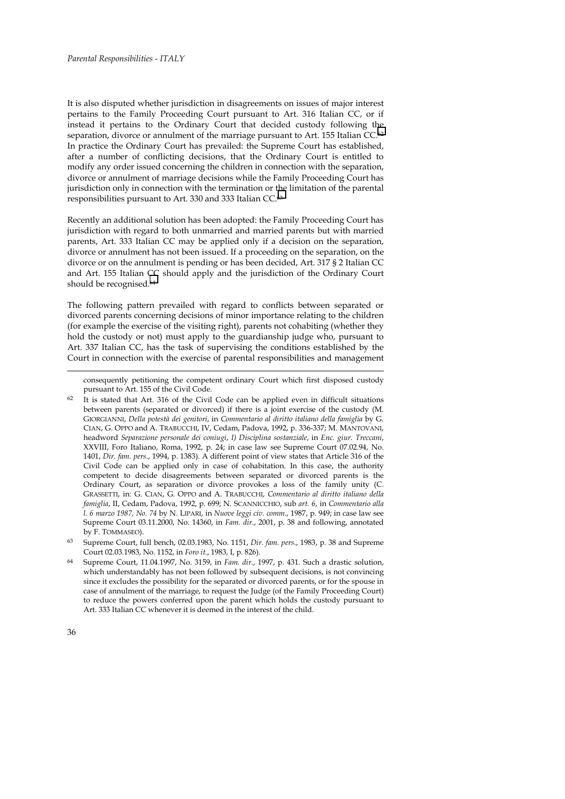It is also disputed whether jurisdiction in disagreements on issues of major interest pertains to the Family Proceeding Court pursuant to Art. 316 Italian CC, or if instead it pertains to the Ordinary Court that decided custody following the separation, divorce or annulment of the marriage pursuant to Art. 155 Italian CC.<sup>62</sup> In practice the Ordinary Court has prevailed: the Supreme Court has established, after a number of conflicting decisions, that the Ordinary Court is entitled to modify any order issued concerning the children in connection with the separation, divorce or annulment of marriage decisions while the Family Proceeding Court has jurisdiction only in connection with the termination or the limitation of the parental responsibilities pursuant to Art. 330 and 333 Italian CC.63

Recently an additional solution has been adopted: the Family Proceeding Court has jurisdiction with regard to both unmarried and married parents but with married parents, Art. 333 Italian CC may be applied only if a decision on the separation, divorce or annulment has not been issued. If a proceeding on the separation, on the divorce or on the annulment is pending or has been decided, Art. 317 § 2 Italian CC and Art. 155 Italian CC should apply and the jurisdiction of the Ordinary Court should be recognised.64

The following pattern prevailed with regard to conflicts between separated or divorced parents concerning decisions of minor importance relating to the children (for example the exercise of the visiting right), parents not cohabiting (whether they hold the custody or not) must apply to the guardianship judge who, pursuant to Art. 337 Italian CC, has the task of supervising the conditions established by the Court in connection with the exercise of parental responsibilities and management

63 Supreme Court, full bench, 02.03.1983, No. 1151, *Dir. fam. pers*., 1983, p. 38 and Supreme Court 02.03.1983, No. 1152, in *Foro it*., 1983, I, p. 826).

consequently petitioning the competent ordinary Court which first disposed custody pursuant to Art. 155 of the Civil Code.

It is stated that Art. 316 of the Civil Code can be applied even in difficult situations between parents (separated or divorced) if there is a joint exercise of the custody (M. GIORGIANNI, *Della potestà dei genitori*, in *Commentario al diritto italiano della famiglia* by G. CIAN, G. OPPO and A. TRABUCCHI, IV, Cedam, Padova, 1992, p. 336-337; M. MANTOVANI, headword *Separazione personale dei coniugi*, *I) Disciplina sostanziale*, in *Enc. giur. Treccani*, XXVIII, Foro Italiano, Roma, 1992, p. 24; in case law see Supreme Court 07.02.94, No. 1401, *Dir. fam. pers*., 1994, p. 1383). A different point of view states that Article 316 of the Civil Code can be applied only in case of cohabitation. In this case, the authority competent to decide disagreements between separated or divorced parents is the Ordinary Court, as separation or divorce provokes a loss of the family unity (C. GRASSETTI, in: G. CIAN, G. OPPO and A. TRABUCCHI, *Commentario al diritto italiano della famiglia*, II, Cedam, Padova, 1992, p. 699; N. SCANNICCHIO, sub *art. 6*, in *Commentario alla l. 6 marzo 1987, No. 74* by N. LIPARI, in *Nuove leggi civ. comm*., 1987, p. 949; in case law see Supreme Court 03.11.2000, No. 14360, in *Fam. dir*., 2001, p. 38 and following, annotated by F. TOMMASEO).

<sup>64</sup> Supreme Court, 11.04.1997, No. 3159, in *Fam. dir*., 1997, p. 431. Such a drastic solution, which understandably has not been followed by subsequent decisions, is not convincing since it excludes the possibility for the separated or divorced parents, or for the spouse in case of annulment of the marriage, to request the Judge (of the Family Proceeding Court) to reduce the powers conferred upon the parent which holds the custody pursuant to Art. 333 Italian CC whenever it is deemed in the interest of the child.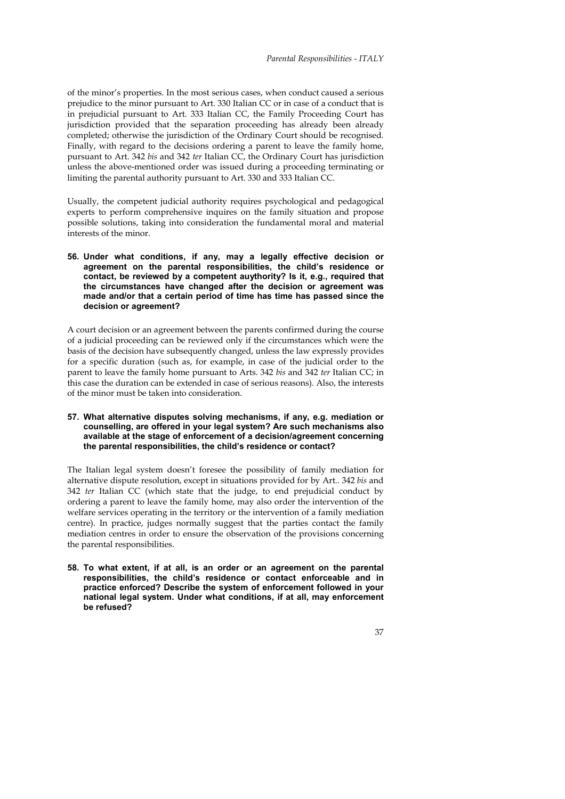of the minor's properties. In the most serious cases, when conduct caused a serious prejudice to the minor pursuant to Art. 330 Italian CC or in case of a conduct that is in prejudicial pursuant to Art. 333 Italian CC, the Family Proceeding Court has jurisdiction provided that the separation proceeding has already been already completed; otherwise the jurisdiction of the Ordinary Court should be recognised. Finally, with regard to the decisions ordering a parent to leave the family home, pursuant to Art. 342 *bis* and 342 *ter* Italian CC, the Ordinary Court has jurisdiction unless the above-mentioned order was issued during a proceeding terminating or limiting the parental authority pursuant to Art. 330 and 333 Italian CC.

Usually, the competent judicial authority requires psychological and pedagogical experts to perform comprehensive inquires on the family situation and propose possible solutions, taking into consideration the fundamental moral and material interests of the minor.

**56. Under what conditions, if any, may a legally effective decision or agreement on the parental responsibilities, the child's residence or contact, be reviewed by a competent auythority? Is it, e.g., required that the circumstances have changed after the decision or agreement was made and/or that a certain period of time has time has passed since the decision or agreement?** 

A court decision or an agreement between the parents confirmed during the course of a judicial proceeding can be reviewed only if the circumstances which were the basis of the decision have subsequently changed, unless the law expressly provides for a specific duration (such as, for example, in case of the judicial order to the parent to leave the family home pursuant to Arts. 342 *bis* and 342 *ter* Italian CC; in this case the duration can be extended in case of serious reasons). Also, the interests of the minor must be taken into consideration.

**57. What alternative disputes solving mechanisms, if any, e.g. mediation or counselling, are offered in your legal system? Are such mechanisms also available at the stage of enforcement of a decision/agreement concerning the parental responsibilities, the child's residence or contact?** 

The Italian legal system doesn't foresee the possibility of family mediation for alternative dispute resolution, except in situations provided for by Art.. 342 *bis* and 342 *ter* Italian CC (which state that the judge, to end prejudicial conduct by ordering a parent to leave the family home, may also order the intervention of the welfare services operating in the territory or the intervention of a family mediation centre). In practice, judges normally suggest that the parties contact the family mediation centres in order to ensure the observation of the provisions concerning the parental responsibilities.

**58. To what extent, if at all, is an order or an agreement on the parental responsibilities, the child's residence or contact enforceable and in practice enforced? Describe the system of enforcement followed in your national legal system. Under what conditions, if at all, may enforcement be refused?**